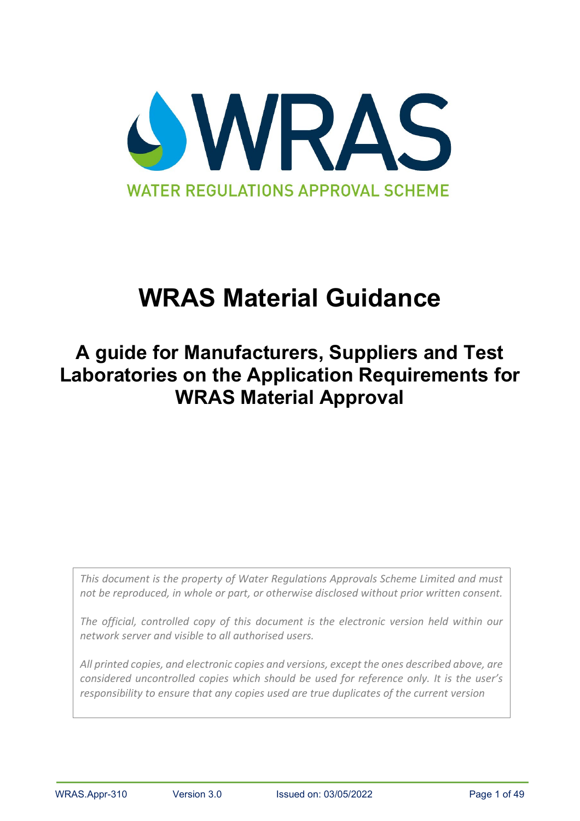

# **WRAS Material Guidance**

## **A guide for Manufacturers, Suppliers and Test Laboratories on the Application Requirements for WRAS Material Approval**

*This document is the property of Water Regulations Approvals Scheme Limited and must not be reproduced, in whole or part, or otherwise disclosed without prior written consent.*

*The official, controlled copy of this document is the electronic version held within our network server and visible to all authorised users.* 

*All printed copies, and electronic copies and versions, except the ones described above, are considered uncontrolled copies which should be used for reference only. It is the user's responsibility to ensure that any copies used are true duplicates of the current version*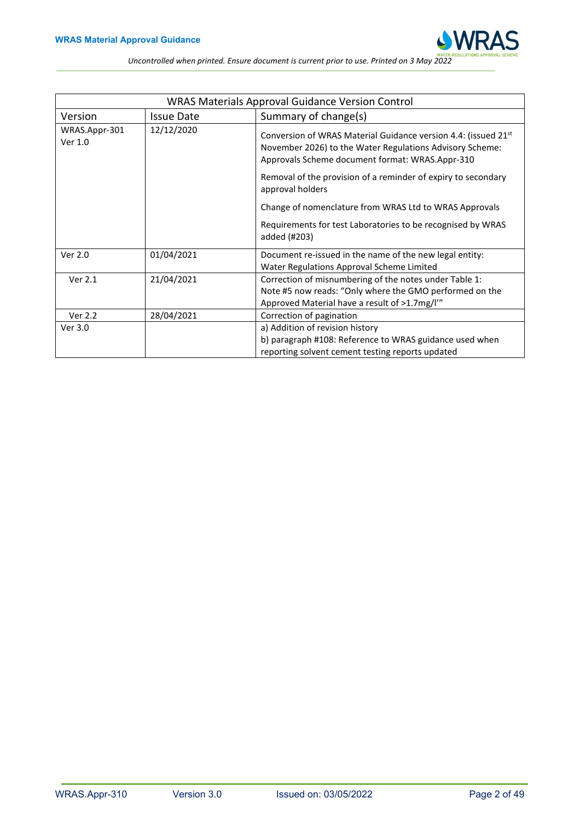

<span id="page-1-0"></span>

| <b>WRAS Materials Approval Guidance Version Control</b> |                   |                                                                                                                                                                                           |  |  |  |  |  |  |
|---------------------------------------------------------|-------------------|-------------------------------------------------------------------------------------------------------------------------------------------------------------------------------------------|--|--|--|--|--|--|
| Version                                                 | <b>Issue Date</b> | Summary of change(s)                                                                                                                                                                      |  |  |  |  |  |  |
| WRAS.Appr-301<br>Ver 1.0                                | 12/12/2020        | Conversion of WRAS Material Guidance version 4.4: (issued 21 <sup>st</sup><br>November 2026) to the Water Regulations Advisory Scheme:<br>Approvals Scheme document format: WRAS.Appr-310 |  |  |  |  |  |  |
|                                                         |                   | Removal of the provision of a reminder of expiry to secondary<br>approval holders                                                                                                         |  |  |  |  |  |  |
|                                                         |                   | Change of nomenclature from WRAS Ltd to WRAS Approvals                                                                                                                                    |  |  |  |  |  |  |
|                                                         |                   | Requirements for test Laboratories to be recognised by WRAS<br>added (#203)                                                                                                               |  |  |  |  |  |  |
| Ver 2.0                                                 | 01/04/2021        | Document re-issued in the name of the new legal entity:<br>Water Regulations Approval Scheme Limited                                                                                      |  |  |  |  |  |  |
| Ver 2.1                                                 | 21/04/2021        | Correction of misnumbering of the notes under Table 1:<br>Note #5 now reads: "Only where the GMO performed on the<br>Approved Material have a result of >1.7mg/l'"                        |  |  |  |  |  |  |
| Ver 2.2                                                 | 28/04/2021        | Correction of pagination                                                                                                                                                                  |  |  |  |  |  |  |
| Ver 3.0                                                 |                   | a) Addition of revision history<br>b) paragraph #108: Reference to WRAS guidance used when<br>reporting solvent cement testing reports updated                                            |  |  |  |  |  |  |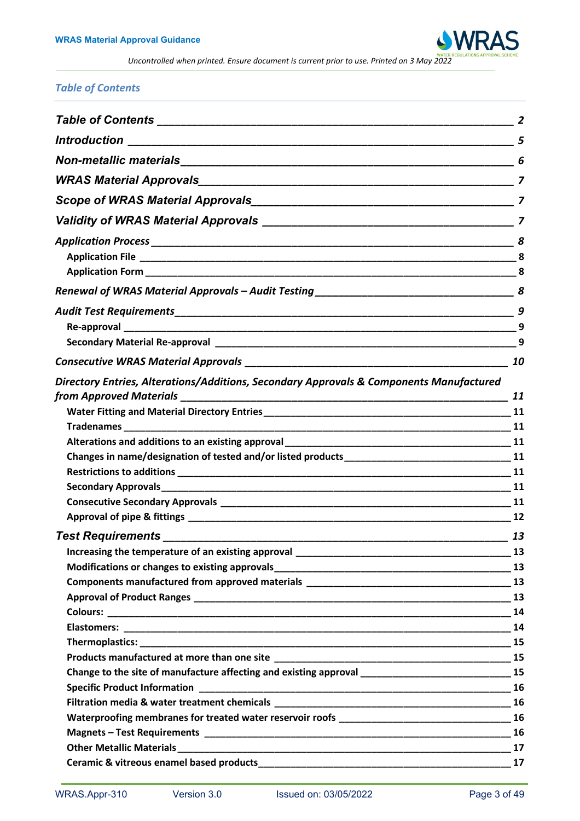

## *Table of Contents*

|                                                                                                        | 8  |
|--------------------------------------------------------------------------------------------------------|----|
|                                                                                                        |    |
|                                                                                                        |    |
|                                                                                                        |    |
|                                                                                                        | 9  |
|                                                                                                        |    |
|                                                                                                        | 10 |
| Directory Entries, Alterations/Additions, Secondary Approvals & Components Manufactured                |    |
|                                                                                                        | 11 |
|                                                                                                        |    |
|                                                                                                        |    |
|                                                                                                        |    |
|                                                                                                        |    |
|                                                                                                        |    |
|                                                                                                        |    |
|                                                                                                        |    |
|                                                                                                        |    |
| <b>Test Requirements</b>                                                                               | 13 |
|                                                                                                        |    |
|                                                                                                        | 13 |
|                                                                                                        |    |
|                                                                                                        |    |
|                                                                                                        | 14 |
|                                                                                                        |    |
|                                                                                                        |    |
| Change to the site of manufacture affecting and existing approval __________________________________15 |    |
|                                                                                                        |    |
|                                                                                                        |    |
|                                                                                                        |    |
|                                                                                                        |    |
|                                                                                                        |    |
|                                                                                                        |    |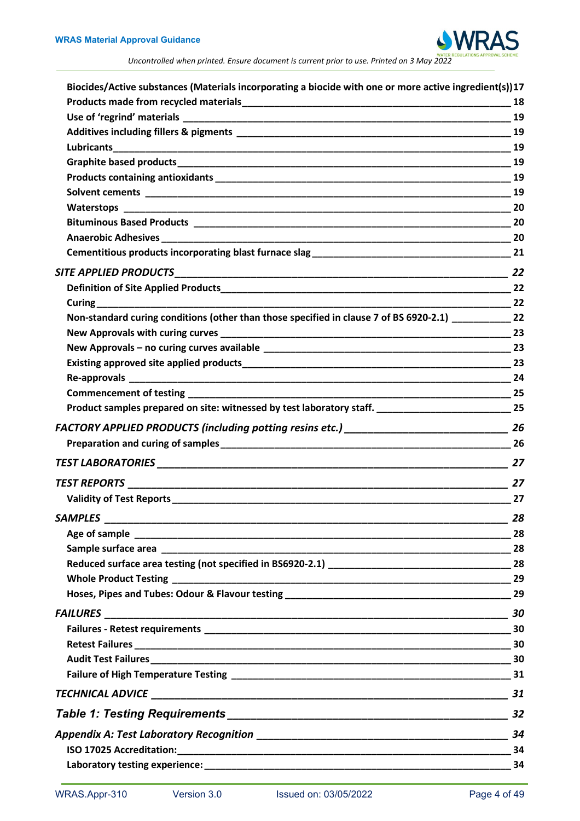

| Biocides/Active substances (Materials incorporating a biocide with one or more active ingredient(s))17  |    |
|---------------------------------------------------------------------------------------------------------|----|
|                                                                                                         | 18 |
|                                                                                                         | 19 |
|                                                                                                         |    |
|                                                                                                         | 19 |
|                                                                                                         |    |
|                                                                                                         | 19 |
|                                                                                                         |    |
|                                                                                                         | 20 |
|                                                                                                         |    |
|                                                                                                         |    |
|                                                                                                         | 21 |
|                                                                                                         |    |
|                                                                                                         |    |
|                                                                                                         |    |
| Non-standard curing conditions (other than those specified in clause 7 of BS 6920-2.1) 22               |    |
|                                                                                                         | 23 |
|                                                                                                         |    |
|                                                                                                         |    |
|                                                                                                         |    |
|                                                                                                         |    |
| Product samples prepared on site: witnessed by test laboratory staff. _______________________________25 |    |
|                                                                                                         |    |
|                                                                                                         |    |
|                                                                                                         | 27 |
|                                                                                                         |    |
|                                                                                                         | 27 |
|                                                                                                         |    |
|                                                                                                         |    |
|                                                                                                         |    |
|                                                                                                         |    |
|                                                                                                         |    |
|                                                                                                         |    |
|                                                                                                         |    |
|                                                                                                         |    |
|                                                                                                         |    |
|                                                                                                         |    |
|                                                                                                         |    |
|                                                                                                         |    |
|                                                                                                         | 32 |
|                                                                                                         |    |
|                                                                                                         |    |
|                                                                                                         |    |
|                                                                                                         |    |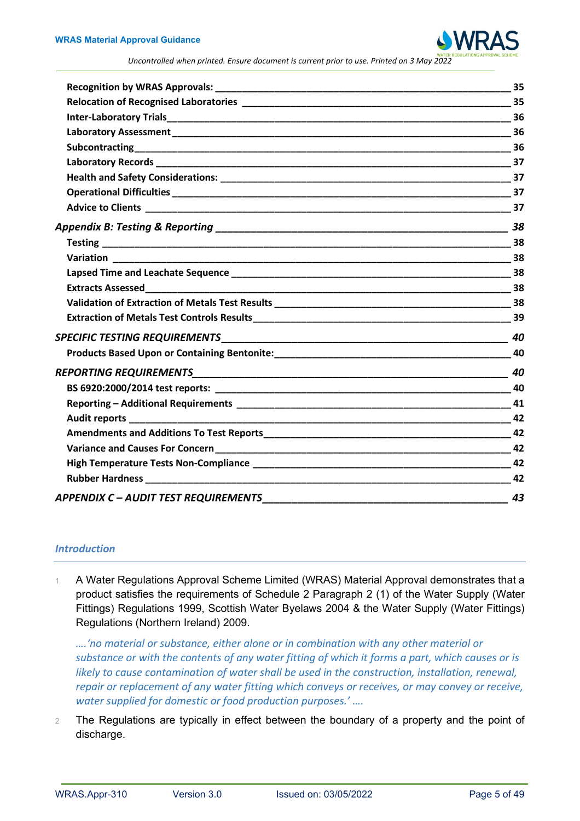

|                                           | 40  |
|-------------------------------------------|-----|
|                                           |     |
|                                           | 40  |
|                                           |     |
|                                           |     |
|                                           | 42  |
|                                           |     |
|                                           |     |
|                                           |     |
|                                           | -42 |
| <b>APPENDIX C-AUDIT TEST REQUIREMENTS</b> | 43  |

## <span id="page-4-0"></span>*Introduction*

1 A Water Regulations Approval Scheme Limited (WRAS) Material Approval demonstrates that a product satisfies the requirements of Schedule 2 Paragraph 2 (1) of the Water Supply (Water Fittings) Regulations 1999, Scottish Water Byelaws 2004 & the Water Supply (Water Fittings) Regulations (Northern Ireland) 2009.

*….'no material or substance, either alone or in combination with any other material or substance or with the contents of any water fitting of which it forms a part, which causes or is likely to cause contamination of water shall be used in the construction, installation, renewal, repair or replacement of any water fitting which conveys or receives, or may convey or receive, water supplied for domestic or food production purposes.' ….*

2 The Regulations are typically in effect between the boundary of a property and the point of discharge.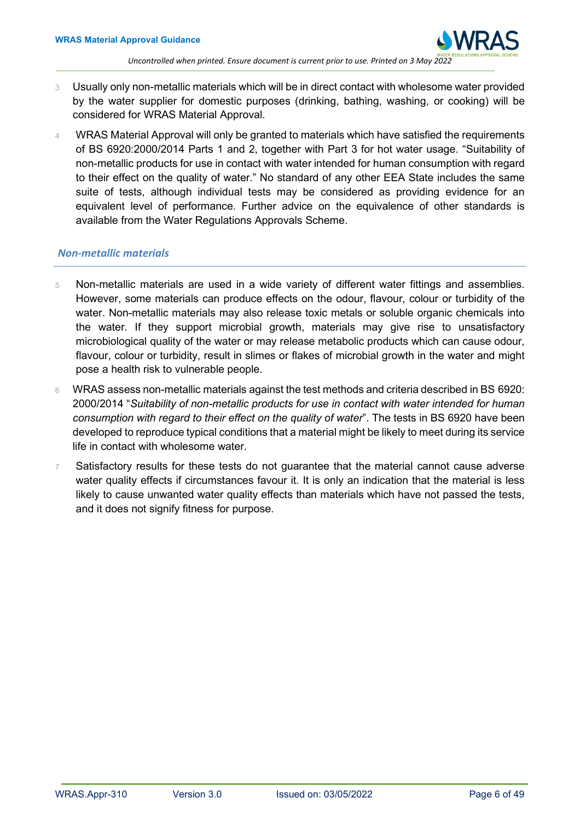- 3 Usually only non-metallic materials which will be in direct contact with wholesome water provided by the water supplier for domestic purposes (drinking, bathing, washing, or cooking) will be considered for WRAS Material Approval.
- 4 WRAS Material Approval will only be granted to materials which have satisfied the requirements of BS 6920:2000/2014 Parts 1 and 2, together with Part 3 for hot water usage. "Suitability of non-metallic products for use in contact with water intended for human consumption with regard to their effect on the quality of water." No standard of any other EEA State includes the same suite of tests, although individual tests may be considered as providing evidence for an equivalent level of performance. Further advice on the equivalence of other standards is available from the Water Regulations Approvals Scheme.

## <span id="page-5-0"></span>*Non-metallic materials*

- 5 Non-metallic materials are used in a wide variety of different water fittings and assemblies. However, some materials can produce effects on the odour, flavour, colour or turbidity of the water. Non-metallic materials may also release toxic metals or soluble organic chemicals into the water. If they support microbial growth, materials may give rise to unsatisfactory microbiological quality of the water or may release metabolic products which can cause odour, flavour, colour or turbidity, result in slimes or flakes of microbial growth in the water and might pose a health risk to vulnerable people.
- 6 WRAS assess non-metallic materials against the test methods and criteria described in BS 6920: 2000/2014 "*Suitability of non-metallic products for use in contact with water intended for human consumption with regard to their effect on the quality of water*". The tests in BS 6920 have been developed to reproduce typical conditions that a material might be likely to meet during its service life in contact with wholesome water.
- <span id="page-5-1"></span>7 Satisfactory results for these tests do not guarantee that the material cannot cause adverse water quality effects if circumstances favour it. It is only an indication that the material is less likely to cause unwanted water quality effects than materials which have not passed the tests, and it does not signify fitness for purpose.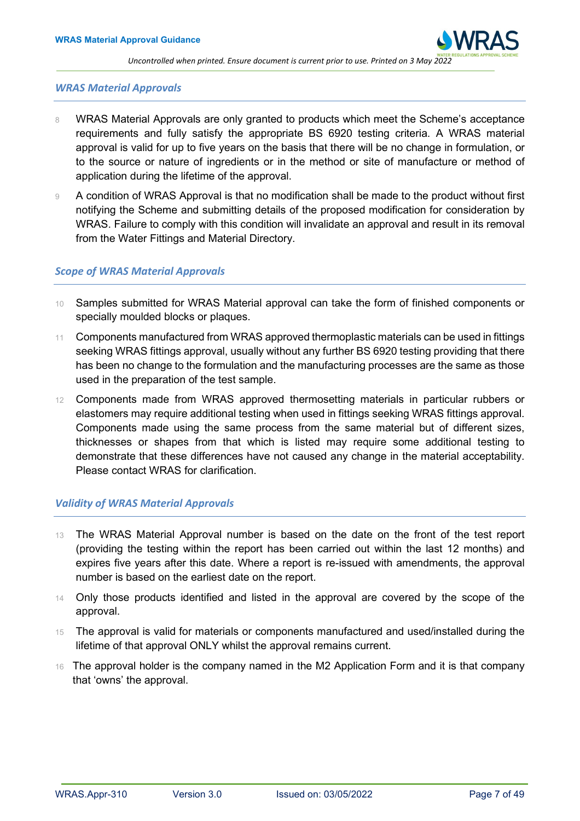

## *WRAS Material Approvals*

- 8 WRAS Material Approvals are only granted to products which meet the Scheme's acceptance requirements and fully satisfy the appropriate BS 6920 testing criteria. A WRAS material approval is valid for up to five years on the basis that there will be no change in formulation, or to the source or nature of ingredients or in the method or site of manufacture or method of application during the lifetime of the approval.
- 9 A condition of WRAS Approval is that no modification shall be made to the product without first notifying the Scheme and submitting details of the proposed modification for consideration by WRAS. Failure to comply with this condition will invalidate an approval and result in its removal from the Water Fittings and Material Directory.

## <span id="page-6-0"></span>*Scope of WRAS Material Approvals*

- 10 Samples submitted for WRAS Material approval can take the form of finished components or specially moulded blocks or plaques.
- 11 Components manufactured from WRAS approved thermoplastic materials can be used in fittings seeking WRAS fittings approval, usually without any further BS 6920 testing providing that there has been no change to the formulation and the manufacturing processes are the same as those used in the preparation of the test sample.
- 12 Components made from WRAS approved thermosetting materials in particular rubbers or elastomers may require additional testing when used in fittings seeking WRAS fittings approval. Components made using the same process from the same material but of different sizes, thicknesses or shapes from that which is listed may require some additional testing to demonstrate that these differences have not caused any change in the material acceptability. Please contact WRAS for clarification.

#### <span id="page-6-1"></span>*Validity of WRAS Material Approvals*

- 13 The WRAS Material Approval number is based on the date on the front of the test report (providing the testing within the report has been carried out within the last 12 months) and expires five years after this date. Where a report is re-issued with amendments, the approval number is based on the earliest date on the report.
- 14 Only those products identified and listed in the approval are covered by the scope of the approval.
- 15 The approval is valid for materials or components manufactured and used/installed during the lifetime of that approval ONLY whilst the approval remains current.
- 16 The approval holder is the company named in the M2 Application Form and it is that company that 'owns' the approval.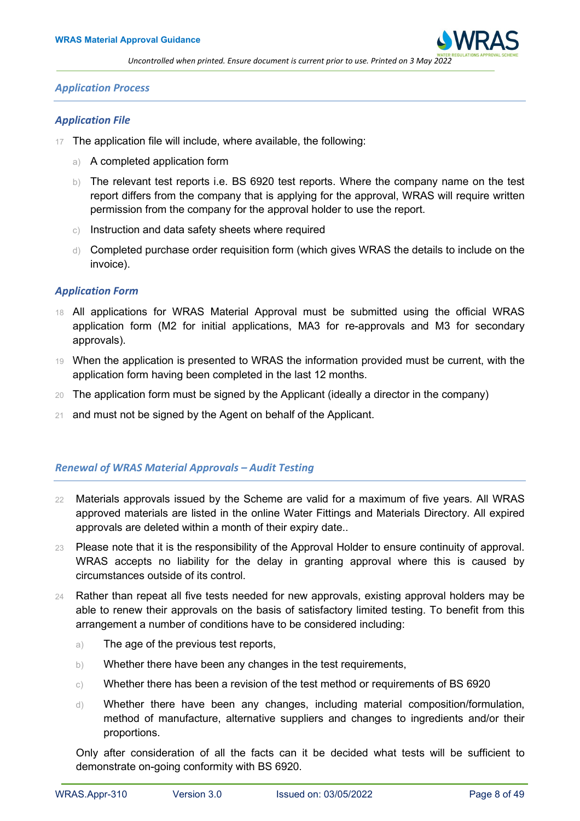

#### <span id="page-7-0"></span>*Application Process*

#### <span id="page-7-1"></span>*Application File*

- 17 The application file will include, where available, the following:
	- a) A completed application form
	- b) The relevant test reports i.e. BS 6920 test reports. Where the company name on the test report differs from the company that is applying for the approval, WRAS will require written permission from the company for the approval holder to use the report.
	- c) Instruction and data safety sheets where required
	- d) Completed purchase order requisition form (which gives WRAS the details to include on the invoice).

#### <span id="page-7-2"></span>*Application Form*

- 18 All applications for WRAS Material Approval must be submitted using the official WRAS application form (M2 for initial applications, MA3 for re-approvals and M3 for secondary approvals).
- 19 When the application is presented to WRAS the information provided must be current, with the application form having been completed in the last 12 months.
- 20 The application form must be signed by the Applicant (ideally a director in the company)
- <span id="page-7-3"></span>21 and must not be signed by the Agent on behalf of the Applicant.

## *Renewal of WRAS Material Approvals – Audit Testing*

- 22 Materials approvals issued by the Scheme are valid for a maximum of five years. All WRAS approved materials are listed in the online Water Fittings and Materials Directory. All expired approvals are deleted within a month of their expiry date..
- 23 Please note that it is the responsibility of the Approval Holder to ensure continuity of approval. WRAS accepts no liability for the delay in granting approval where this is caused by circumstances outside of its control.
- 24 Rather than repeat all five tests needed for new approvals, existing approval holders may be able to renew their approvals on the basis of satisfactory limited testing. To benefit from this arrangement a number of conditions have to be considered including:
	- a) The age of the previous test reports,
	- b) Whether there have been any changes in the test requirements,
	- $\circ$ ) Whether there has been a revision of the test method or requirements of BS 6920
	- d) Whether there have been any changes, including material composition/formulation, method of manufacture, alternative suppliers and changes to ingredients and/or their proportions.

Only after consideration of all the facts can it be decided what tests will be sufficient to demonstrate on-going conformity with BS 6920.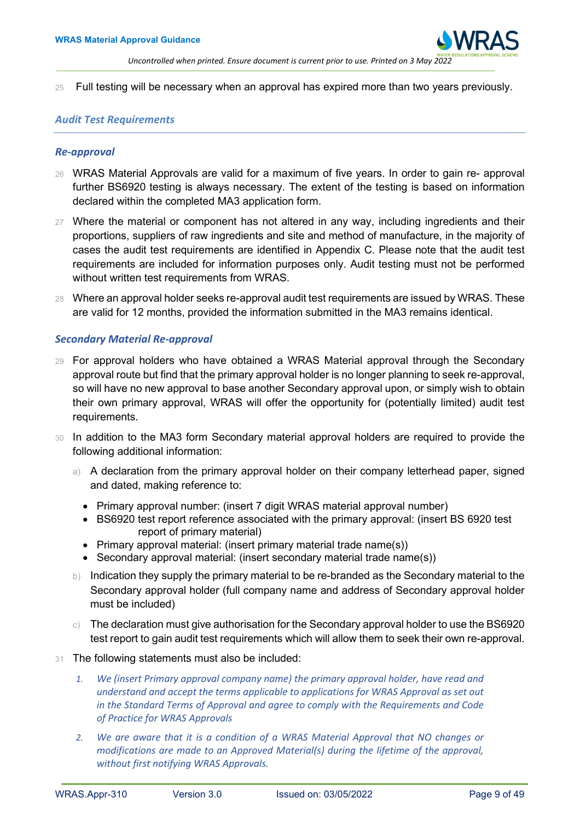

25 Full testing will be necessary when an approval has expired more than two years previously.

#### <span id="page-8-0"></span>*Audit Test Requirements*

#### <span id="page-8-1"></span>*Re-approval*

- 26 WRAS Material Approvals are valid for a maximum of five years. In order to gain re- approval further BS6920 testing is always necessary. The extent of the testing is based on information declared within the completed MA3 application form.
- 27 Where the material or component has not altered in any way, including ingredients and their proportions, suppliers of raw ingredients and site and method of manufacture, in the majority of cases the audit test requirements are identified in Appendix C. Please note that the audit test requirements are included for information purposes only. Audit testing must not be performed without written test requirements from WRAS.
- 28 Where an approval holder seeks re-approval audit test requirements are issued by WRAS. These are valid for 12 months, provided the information submitted in the MA3 remains identical.

## <span id="page-8-2"></span>*Secondary Material Re-approval*

- 29 For approval holders who have obtained a WRAS Material approval through the Secondary approval route but find that the primary approval holder is no longer planning to seek re-approval, so will have no new approval to base another Secondary approval upon, or simply wish to obtain their own primary approval, WRAS will offer the opportunity for (potentially limited) audit test requirements.
- 30 In addition to the MA3 form Secondary material approval holders are required to provide the following additional information:
	- a) A declaration from the primary approval holder on their company letterhead paper, signed and dated, making reference to:
		- Primary approval number: (insert 7 digit WRAS material approval number)
		- BS6920 test report reference associated with the primary approval: (insert BS 6920 test report of primary material)
		- Primary approval material: (insert primary material trade name(s))
		- Secondary approval material: (insert secondary material trade name(s))
	- b) Indication they supply the primary material to be re-branded as the Secondary material to the Secondary approval holder (full company name and address of Secondary approval holder must be included)
	- $\circ$ ) The declaration must give authorisation for the Secondary approval holder to use the BS6920 test report to gain audit test requirements which will allow them to seek their own re-approval.
- 31 The following statements must also be included:
	- *1. We (insert Primary approval company name) the primary approval holder, have read and understand and accept the terms applicable to applications for WRAS Approval as set out in the Standard Terms of Approval and agree to comply with the Requirements and Code of Practice for WRAS Approvals*
	- *2. We are aware that it is a condition of a WRAS Material Approval that NO changes or modifications are made to an Approved Material(s) during the lifetime of the approval, without first notifying WRAS Approvals.*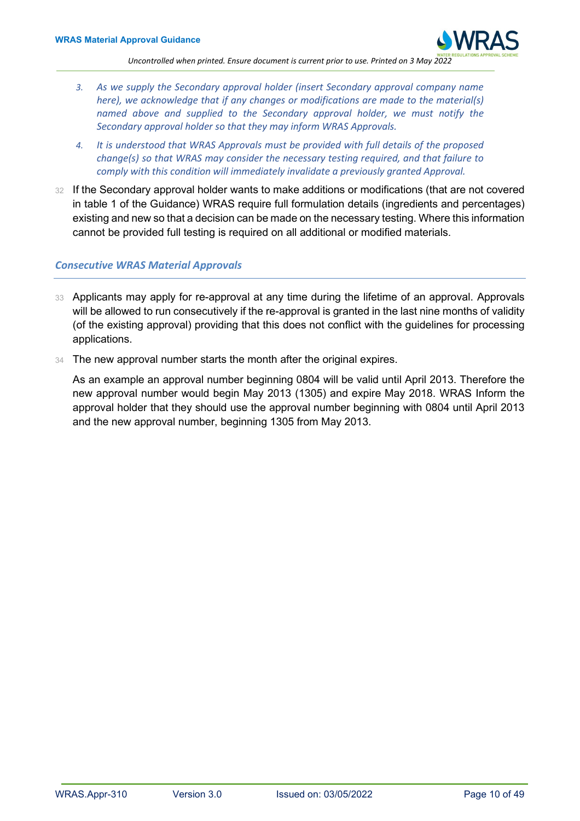

- *3. As we supply the Secondary approval holder (insert Secondary approval company name here), we acknowledge that if any changes or modifications are made to the material(s) named above and supplied to the Secondary approval holder, we must notify the Secondary approval holder so that they may inform WRAS Approvals.*
- *4. It is understood that WRAS Approvals must be provided with full details of the proposed change(s) so that WRAS may consider the necessary testing required, and that failure to comply with this condition will immediately invalidate a previously granted Approval.*
- 32 If the Secondary approval holder wants to make additions or modifications (that are not covered in table 1 of the Guidance) WRAS require full formulation details (ingredients and percentages) existing and new so that a decision can be made on the necessary testing. Where this information cannot be provided full testing is required on all additional or modified materials.

## <span id="page-9-0"></span>*Consecutive WRAS Material Approvals*

- 33 Applicants may apply for re-approval at any time during the lifetime of an approval. Approvals will be allowed to run consecutively if the re-approval is granted in the last nine months of validity (of the existing approval) providing that this does not conflict with the guidelines for processing applications.
- 34 The new approval number starts the month after the original expires.

As an example an approval number beginning 0804 will be valid until April 2013. Therefore the new approval number would begin May 2013 (1305) and expire May 2018. WRAS Inform the approval holder that they should use the approval number beginning with 0804 until April 2013 and the new approval number, beginning 1305 from May 2013.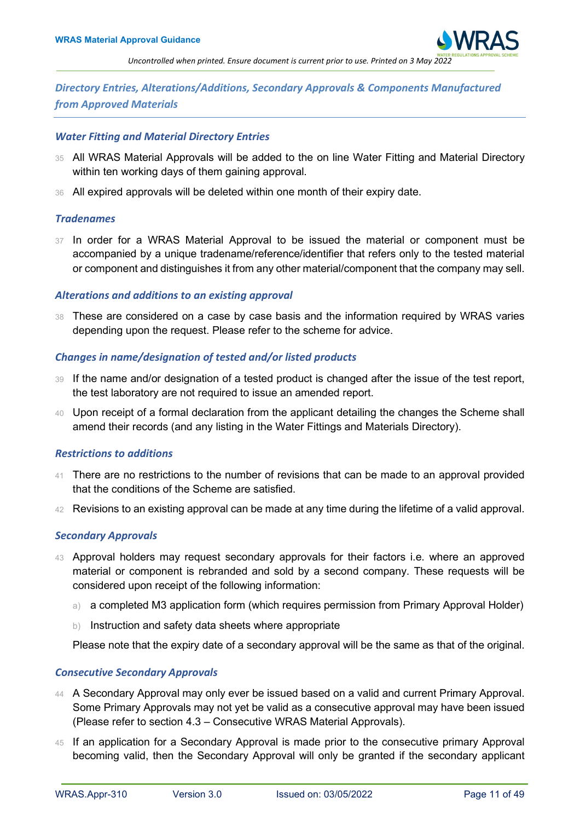

## <span id="page-10-0"></span>*Directory Entries, Alterations/Additions, Secondary Approvals & Components Manufactured from Approved Materials*

#### <span id="page-10-1"></span>*Water Fitting and Material Directory Entries*

- 35 All WRAS Material Approvals will be added to the on line Water Fitting and Material Directory within ten working days of them gaining approval.
- 36 All expired approvals will be deleted within one month of their expiry date.

## <span id="page-10-2"></span>*Tradenames*

37 In order for a WRAS Material Approval to be issued the material or component must be accompanied by a unique tradename/reference/identifier that refers only to the tested material or component and distinguishes it from any other material/component that the company may sell.

## <span id="page-10-3"></span>*Alterations and additions to an existing approval*

38 These are considered on a case by case basis and the information required by WRAS varies depending upon the request. Please refer to the scheme for advice.

## <span id="page-10-4"></span>*Changes in name/designation of tested and/or listed products*

- 39 If the name and/or designation of a tested product is changed after the issue of the test report, the test laboratory are not required to issue an amended report.
- 40 Upon receipt of a formal declaration from the applicant detailing the changes the Scheme shall amend their records (and any listing in the Water Fittings and Materials Directory).

#### <span id="page-10-5"></span>*Restrictions to additions*

- 41 There are no restrictions to the number of revisions that can be made to an approval provided that the conditions of the Scheme are satisfied.
- 42 Revisions to an existing approval can be made at any time during the lifetime of a valid approval.

#### <span id="page-10-6"></span>*Secondary Approvals*

- 43 Approval holders may request secondary approvals for their factors i.e. where an approved material or component is rebranded and sold by a second company. These requests will be considered upon receipt of the following information:
	- a) a completed M3 application form (which requires permission from Primary Approval Holder)
	- b) Instruction and safety data sheets where appropriate

Please note that the expiry date of a secondary approval will be the same as that of the original.

## <span id="page-10-7"></span>*Consecutive Secondary Approvals*

- 44 A Secondary Approval may only ever be issued based on a valid and current Primary Approval. Some Primary Approvals may not yet be valid as a consecutive approval may have been issued (Please refer to section 4.3 – Consecutive WRAS Material Approvals).
- 45 If an application for a Secondary Approval is made prior to the consecutive primary Approval becoming valid, then the Secondary Approval will only be granted if the secondary applicant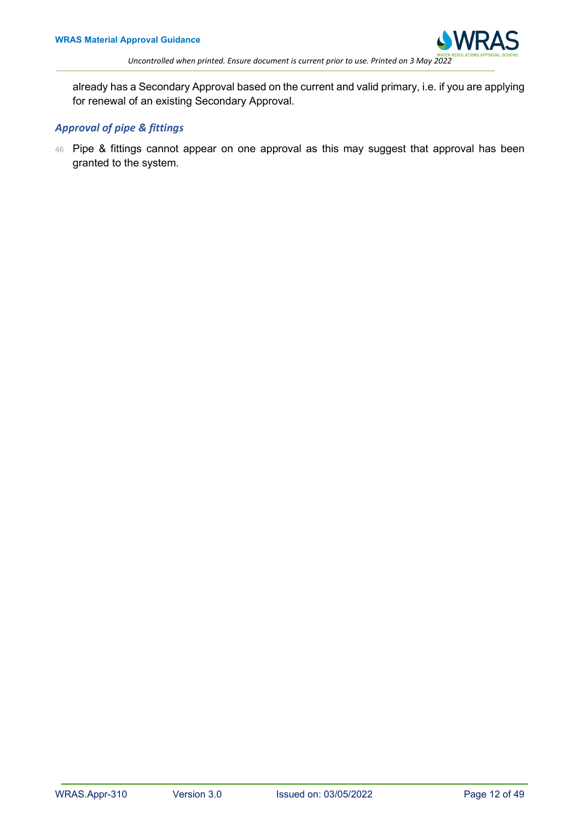

already has a Secondary Approval based on the current and valid primary, i.e. if you are applying for renewal of an existing Secondary Approval.

## <span id="page-11-0"></span>*Approval of pipe & fittings*

<span id="page-11-1"></span>46 Pipe & fittings cannot appear on one approval as this may suggest that approval has been granted to the system.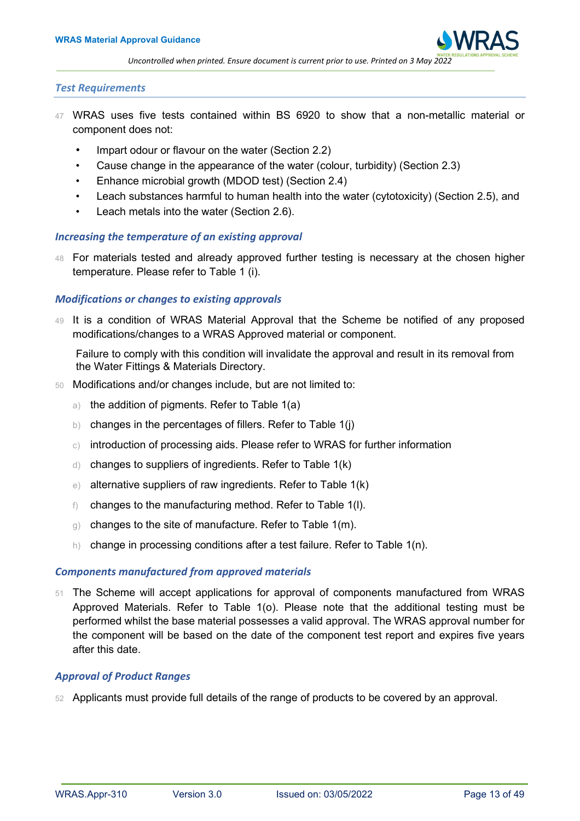

#### *Test Requirements*

- 47 WRAS uses five tests contained within BS 6920 to show that a non-metallic material or component does not:
	- Impart odour or flavour on the water (Section 2.2)
	- Cause change in the appearance of the water (colour, turbidity) (Section 2.3)
	- Enhance microbial growth (MDOD test) (Section 2.4)
	- Leach substances harmful to human health into the water (cytotoxicity) (Section 2.5), and
	- Leach metals into the water (Section 2.6).

## <span id="page-12-0"></span>*Increasing the temperature of an existing approval*

48 For materials tested and already approved further testing is necessary at the chosen higher temperature. Please refer to Table 1 (i).

#### <span id="page-12-1"></span>*Modifications or changes to existing approvals*

49 It is a condition of WRAS Material Approval that the Scheme be notified of any proposed modifications/changes to a WRAS Approved material or component.

Failure to comply with this condition will invalidate the approval and result in its removal from the Water Fittings & Materials Directory.

- 50 Modifications and/or changes include, but are not limited to:
	- a) the addition of pigments. Refer to Table 1(a)
	- b) changes in the percentages of fillers. Refer to Table 1(j)
	- c) introduction of processing aids. Please refer to WRAS for further information
	- d) changes to suppliers of ingredients. Refer to Table 1(k)
	- e) alternative suppliers of raw ingredients. Refer to Table 1(k)
	- f) changes to the manufacturing method. Refer to Table 1(l).
	- g) changes to the site of manufacture. Refer to Table 1(m).
	- h) change in processing conditions after a test failure. Refer to Table  $1(n)$ .

#### <span id="page-12-2"></span>*Components manufactured from approved materials*

51 The Scheme will accept applications for approval of components manufactured from WRAS Approved Materials. Refer to Table 1(o). Please note that the additional testing must be performed whilst the base material possesses a valid approval. The WRAS approval number for the component will be based on the date of the component test report and expires five years after this date.

## <span id="page-12-3"></span>*Approval of Product Ranges*

<span id="page-12-4"></span>52 Applicants must provide full details of the range of products to be covered by an approval.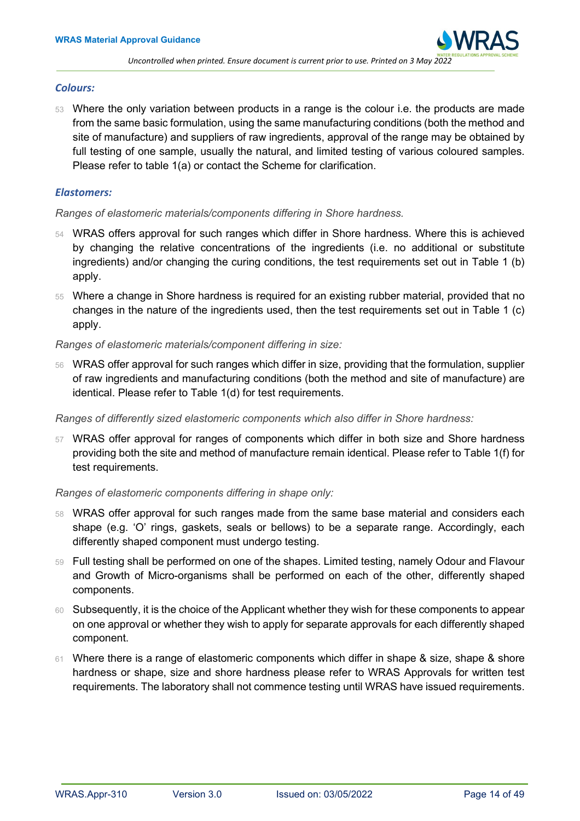#### *Colours:*

53 Where the only variation between products in a range is the colour i.e. the products are made from the same basic formulation, using the same manufacturing conditions (both the method and site of manufacture) and suppliers of raw ingredients, approval of the range may be obtained by full testing of one sample, usually the natural, and limited testing of various coloured samples. Please refer to table 1(a) or contact the Scheme for clarification.

## <span id="page-13-0"></span>*Elastomers:*

## *Ranges of elastomeric materials/components differing in Shore hardness.*

- 54 WRAS offers approval for such ranges which differ in Shore hardness. Where this is achieved by changing the relative concentrations of the ingredients (i.e. no additional or substitute ingredients) and/or changing the curing conditions, the test requirements set out in Table 1 (b) apply.
- 55 Where a change in Shore hardness is required for an existing rubber material, provided that no changes in the nature of the ingredients used, then the test requirements set out in Table 1 (c) apply.

## *Ranges of elastomeric materials/component differing in size:*

56 WRAS offer approval for such ranges which differ in size, providing that the formulation, supplier of raw ingredients and manufacturing conditions (both the method and site of manufacture) are identical. Please refer to Table 1(d) for test requirements.

*Ranges of differently sized elastomeric components which also differ in Shore hardness:*

57 WRAS offer approval for ranges of components which differ in both size and Shore hardness providing both the site and method of manufacture remain identical. Please refer to Table 1(f) for test requirements.

#### *Ranges of elastomeric components differing in shape only:*

- 58 WRAS offer approval for such ranges made from the same base material and considers each shape (e.g. 'O' rings, gaskets, seals or bellows) to be a separate range. Accordingly, each differently shaped component must undergo testing.
- 59 Full testing shall be performed on one of the shapes. Limited testing, namely Odour and Flavour and Growth of Micro-organisms shall be performed on each of the other, differently shaped components.
- 60 Subsequently, it is the choice of the Applicant whether they wish for these components to appear on one approval or whether they wish to apply for separate approvals for each differently shaped component.
- <span id="page-13-1"></span>61 Where there is a range of elastomeric components which differ in shape & size, shape & shore hardness or shape, size and shore hardness please refer to WRAS Approvals for written test requirements. The laboratory shall not commence testing until WRAS have issued requirements.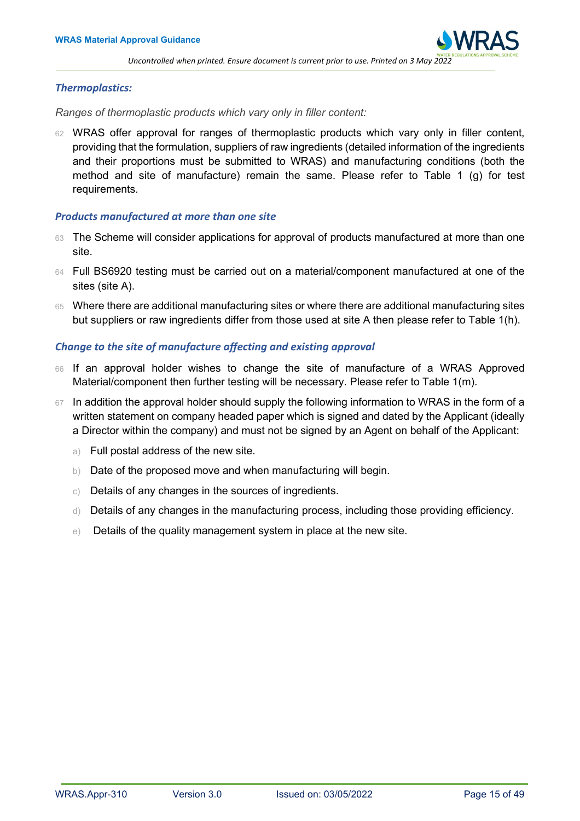

## *Thermoplastics:*

*Ranges of thermoplastic products which vary only in filler content:*

62 WRAS offer approval for ranges of thermoplastic products which vary only in filler content, providing that the formulation, suppliers of raw ingredients (detailed information of the ingredients and their proportions must be submitted to WRAS) and manufacturing conditions (both the method and site of manufacture) remain the same. Please refer to Table 1 (g) for test requirements.

## <span id="page-14-0"></span>*Products manufactured at more than one site*

- 63 The Scheme will consider applications for approval of products manufactured at more than one site.
- 64 Full BS6920 testing must be carried out on a material/component manufactured at one of the sites (site A).
- 65 Where there are additional manufacturing sites or where there are additional manufacturing sites but suppliers or raw ingredients differ from those used at site A then please refer to Table 1(h).

## <span id="page-14-1"></span>*Change to the site of manufacture affecting and existing approval*

- 66 If an approval holder wishes to change the site of manufacture of a WRAS Approved Material/component then further testing will be necessary. Please refer to Table 1(m).
- <span id="page-14-2"></span>67 In addition the approval holder should supply the following information to WRAS in the form of a written statement on company headed paper which is signed and dated by the Applicant (ideally a Director within the company) and must not be signed by an Agent on behalf of the Applicant:
	- a) Full postal address of the new site.
	- b) Date of the proposed move and when manufacturing will begin.
	- c) Details of any changes in the sources of ingredients.
	- d) Details of any changes in the manufacturing process, including those providing efficiency.
	- e) Details of the quality management system in place at the new site.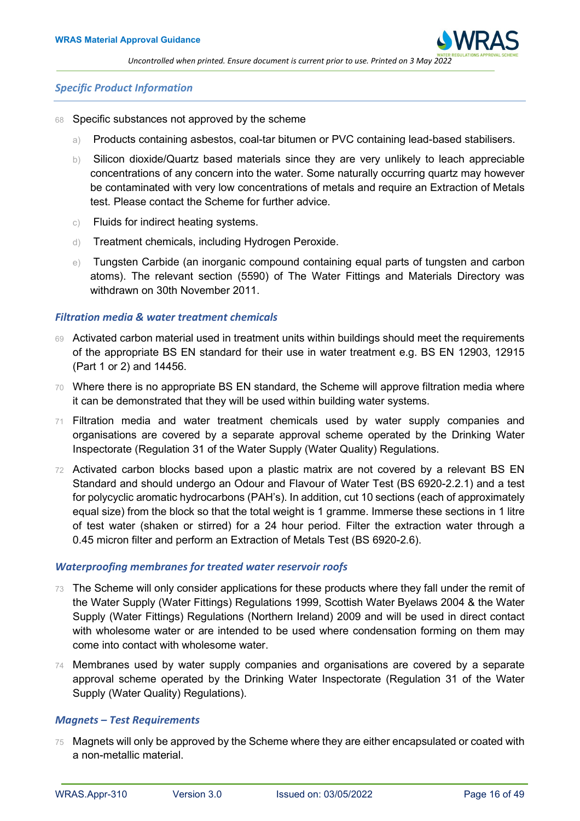

#### *Specific Product Information*

- 68 Specific substances not approved by the scheme
	- a) Products containing asbestos, coal-tar bitumen or PVC containing lead-based stabilisers.
	- b) Silicon dioxide/Quartz based materials since they are very unlikely to leach appreciable concentrations of any concern into the water. Some naturally occurring quartz may however be contaminated with very low concentrations of metals and require an Extraction of Metals test. Please contact the Scheme for further advice.
	- c) Fluids for indirect heating systems.
	- d) Treatment chemicals, including Hydrogen Peroxide.
	- e) Tungsten Carbide (an inorganic compound containing equal parts of tungsten and carbon atoms). The relevant section (5590) of The Water Fittings and Materials Directory was withdrawn on 30th November 2011.

#### <span id="page-15-0"></span>*Filtration media & water treatment chemicals*

- 69 Activated carbon material used in treatment units within buildings should meet the requirements of the appropriate BS EN standard for their use in water treatment e.g. BS EN 12903, 12915 (Part 1 or 2) and 14456.
- 70 Where there is no appropriate BS EN standard, the Scheme will approve filtration media where it can be demonstrated that they will be used within building water systems.
- 71 Filtration media and water treatment chemicals used by water supply companies and organisations are covered by a separate approval scheme operated by the Drinking Water Inspectorate (Regulation 31 of the Water Supply (Water Quality) Regulations.
- 72 Activated carbon blocks based upon a plastic matrix are not covered by a relevant BS EN Standard and should undergo an Odour and Flavour of Water Test (BS 6920-2.2.1) and a test for polycyclic aromatic hydrocarbons (PAH's). In addition, cut 10 sections (each of approximately equal size) from the block so that the total weight is 1 gramme. Immerse these sections in 1 litre of test water (shaken or stirred) for a 24 hour period. Filter the extraction water through a 0.45 micron filter and perform an Extraction of Metals Test (BS 6920-2.6).

#### <span id="page-15-1"></span>*Waterproofing membranes for treated water reservoir roofs*

- 73 The Scheme will only consider applications for these products where they fall under the remit of the Water Supply (Water Fittings) Regulations 1999, Scottish Water Byelaws 2004 & the Water Supply (Water Fittings) Regulations (Northern Ireland) 2009 and will be used in direct contact with wholesome water or are intended to be used where condensation forming on them may come into contact with wholesome water.
- 74 Membranes used by water supply companies and organisations are covered by a separate approval scheme operated by the Drinking Water Inspectorate (Regulation 31 of the Water Supply (Water Quality) Regulations).

## <span id="page-15-2"></span>*Magnets – Test Requirements*

75 Magnets will only be approved by the Scheme where they are either encapsulated or coated with a non-metallic material.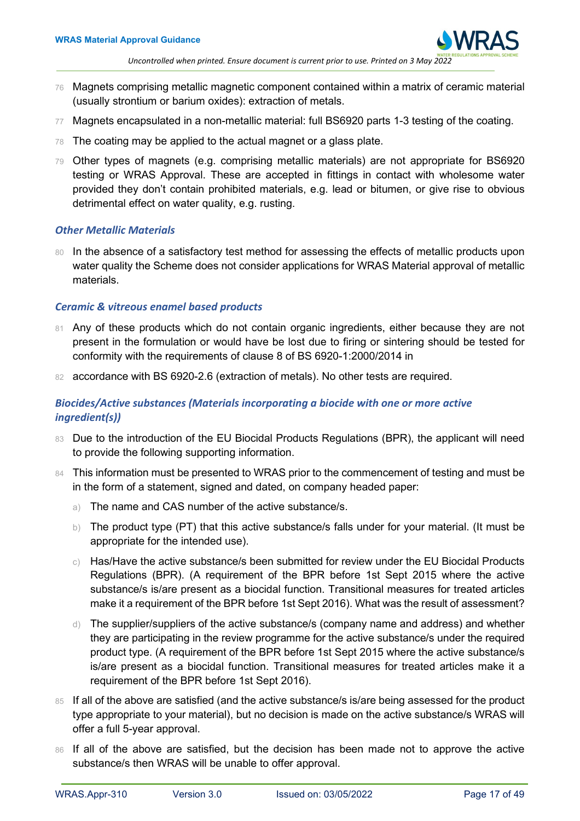

- 76 Magnets comprising metallic magnetic component contained within a matrix of ceramic material (usually strontium or barium oxides): extraction of metals.
- 77 Magnets encapsulated in a non-metallic material: full BS6920 parts 1-3 testing of the coating.
- $78$  The coating may be applied to the actual magnet or a glass plate.
- 79 Other types of magnets (e.g. comprising metallic materials) are not appropriate for BS6920 testing or WRAS Approval. These are accepted in fittings in contact with wholesome water provided they don't contain prohibited materials, e.g. lead or bitumen, or give rise to obvious detrimental effect on water quality, e.g. rusting.

## <span id="page-16-0"></span>*Other Metallic Materials*

80 In the absence of a satisfactory test method for assessing the effects of metallic products upon water quality the Scheme does not consider applications for WRAS Material approval of metallic materials.

## <span id="page-16-1"></span>*Ceramic & vitreous enamel based products*

- 81 Any of these products which do not contain organic ingredients, either because they are not present in the formulation or would have be lost due to firing or sintering should be tested for conformity with the requirements of clause 8 of BS 6920-1:2000/2014 in
- 82 accordance with BS 6920-2.6 (extraction of metals). No other tests are required.

## <span id="page-16-2"></span>*Biocides/Active substances (Materials incorporating a biocide with one or more active ingredient(s))*

- 83 Due to the introduction of the EU Biocidal Products Regulations (BPR), the applicant will need to provide the following supporting information.
- 84 This information must be presented to WRAS prior to the commencement of testing and must be in the form of a statement, signed and dated, on company headed paper:
	- a) The name and CAS number of the active substance/s.
	- b) The product type (PT) that this active substance/s falls under for your material. (It must be appropriate for the intended use).
	- $\circ$ ) Has/Have the active substance/s been submitted for review under the EU Biocidal Products Regulations (BPR). (A requirement of the BPR before 1st Sept 2015 where the active substance/s is/are present as a biocidal function. Transitional measures for treated articles make it a requirement of the BPR before 1st Sept 2016). What was the result of assessment?
	- d) The supplier/suppliers of the active substance/s (company name and address) and whether they are participating in the review programme for the active substance/s under the required product type. (A requirement of the BPR before 1st Sept 2015 where the active substance/s is/are present as a biocidal function. Transitional measures for treated articles make it a requirement of the BPR before 1st Sept 2016).
- 85 If all of the above are satisfied (and the active substance/s is/are being assessed for the product type appropriate to your material), but no decision is made on the active substance/s WRAS will offer a full 5-year approval.
- 86 If all of the above are satisfied, but the decision has been made not to approve the active substance/s then WRAS will be unable to offer approval.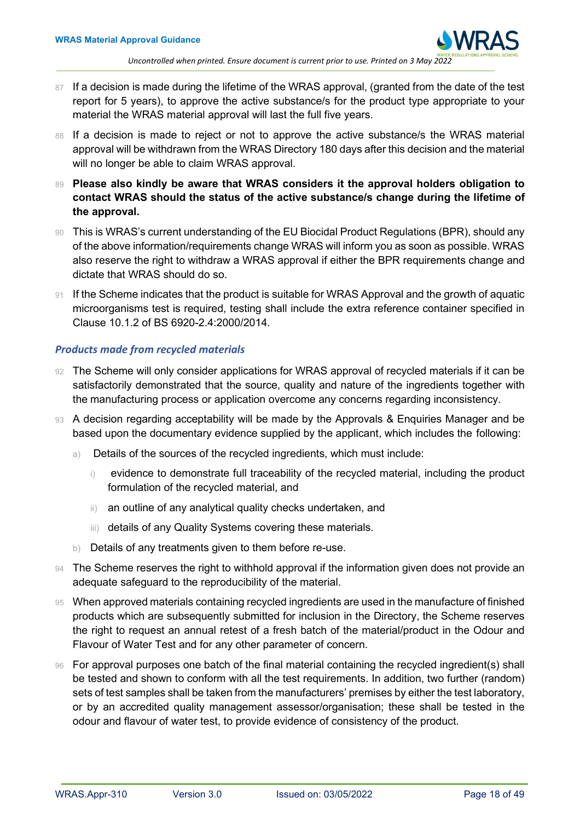

- 87 If a decision is made during the lifetime of the WRAS approval, (granted from the date of the test report for 5 years), to approve the active substance/s for the product type appropriate to your material the WRAS material approval will last the full five years.
- 88 If a decision is made to reject or not to approve the active substance/s the WRAS material approval will be withdrawn from the WRAS Directory 180 days after this decision and the material will no longer be able to claim WRAS approval.
- 89 Please also kindly be aware that WRAS considers it the approval holders obligation to **contact WRAS should the status of the active substance/s change during the lifetime of the approval.**
- 90 This is WRAS's current understanding of the EU Biocidal Product Regulations (BPR), should any of the above information/requirements change WRAS will inform you as soon as possible. WRAS also reserve the right to withdraw a WRAS approval if either the BPR requirements change and dictate that WRAS should do so.
- 91 If the Scheme indicates that the product is suitable for WRAS Approval and the growth of aquatic microorganisms test is required, testing shall include the extra reference container specified in Clause 10.1.2 of BS 6920-2.4:2000/2014.

## <span id="page-17-0"></span>*Products made from recycled materials*

- 92 The Scheme will only consider applications for WRAS approval of recycled materials if it can be satisfactorily demonstrated that the source, quality and nature of the ingredients together with the manufacturing process or application overcome any concerns regarding inconsistency.
- 93 A decision regarding acceptability will be made by the Approvals & Enquiries Manager and be based upon the documentary evidence supplied by the applicant, which includes the following:
	- a) Details of the sources of the recycled ingredients, which must include:
		- i) evidence to demonstrate full traceability of the recycled material, including the product formulation of the recycled material, and
		- ii) an outline of any analytical quality checks undertaken, and
		- iii) details of any Quality Systems covering these materials.
	- b) Details of any treatments given to them before re-use.
- 94 The Scheme reserves the right to withhold approval if the information given does not provide an adequate safeguard to the reproducibility of the material.
- 95 When approved materials containing recycled ingredients are used in the manufacture of finished products which are subsequently submitted for inclusion in the Directory, the Scheme reserves the right to request an annual retest of a fresh batch of the material/product in the Odour and Flavour of Water Test and for any other parameter of concern.
- <span id="page-17-1"></span>96 For approval purposes one batch of the final material containing the recycled ingredient(s) shall be tested and shown to conform with all the test requirements. In addition, two further (random) sets of test samples shall be taken from the manufacturers' premises by either the test laboratory, or by an accredited quality management assessor/organisation; these shall be tested in the odour and flavour of water test, to provide evidence of consistency of the product.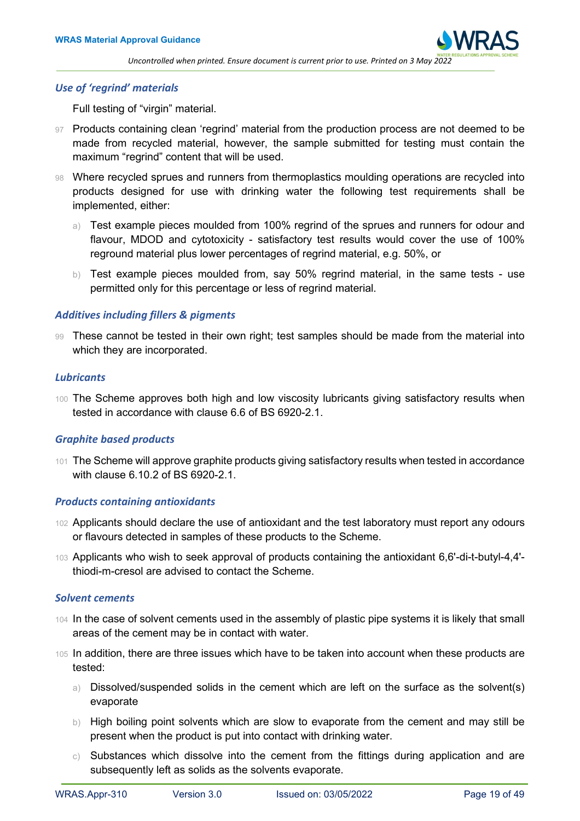## *Use of 'regrind' materials*

Full testing of "virgin" material.

- 97 Products containing clean 'regrind' material from the production process are not deemed to be made from recycled material, however, the sample submitted for testing must contain the maximum "regrind" content that will be used.
- 98 Where recycled sprues and runners from thermoplastics moulding operations are recycled into products designed for use with drinking water the following test requirements shall be implemented, either:
	- a) Test example pieces moulded from 100% regrind of the sprues and runners for odour and flavour, MDOD and cytotoxicity - satisfactory test results would cover the use of 100% reground material plus lower percentages of regrind material, e.g. 50%, or
	- b) Test example pieces moulded from, say 50% regrind material, in the same tests use permitted only for this percentage or less of regrind material.

## <span id="page-18-0"></span>*Additives including fillers & pigments*

99 These cannot be tested in their own right; test samples should be made from the material into which they are incorporated.

#### <span id="page-18-1"></span>*Lubricants*

100 The Scheme approves both high and low viscosity lubricants giving satisfactory results when tested in accordance with clause 6.6 of BS 6920-2.1.

## <span id="page-18-2"></span>*Graphite based products*

101 The Scheme will approve graphite products giving satisfactory results when tested in accordance with clause 6.10.2 of BS 6920-2.1.

#### <span id="page-18-3"></span>*Products containing antioxidants*

- 102 Applicants should declare the use of antioxidant and the test laboratory must report any odours or flavours detected in samples of these products to the Scheme.
- 103 Applicants who wish to seek approval of products containing the antioxidant 6,6'-di-t-butyl-4,4' thiodi-m-cresol are advised to contact the Scheme.

## <span id="page-18-4"></span>*Solvent cements*

- 104 In the case of solvent cements used in the assembly of plastic pipe systems it is likely that small areas of the cement may be in contact with water.
- 105 In addition, there are three issues which have to be taken into account when these products are tested:
	- a) Dissolved/suspended solids in the cement which are left on the surface as the solvent(s) evaporate
	- b) High boiling point solvents which are slow to evaporate from the cement and may still be present when the product is put into contact with drinking water.
	- $\circ$ ) Substances which dissolve into the cement from the fittings during application and are subsequently left as solids as the solvents evaporate.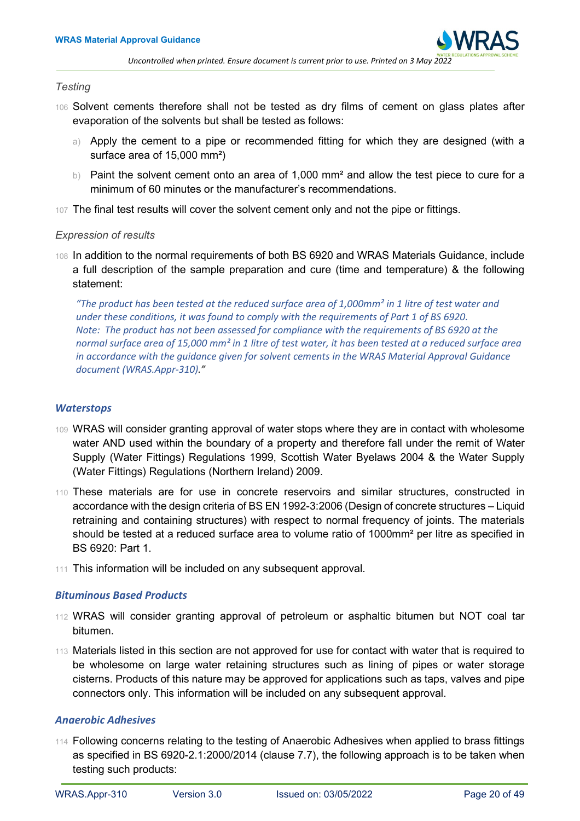

#### *Testing*

- 106 Solvent cements therefore shall not be tested as dry films of cement on glass plates after evaporation of the solvents but shall be tested as follows:
	- a) Apply the cement to a pipe or recommended fitting for which they are designed (with a surface area of 15,000 mm²)
	- b) Paint the solvent cement onto an area of 1,000 mm<sup>2</sup> and allow the test piece to cure for a minimum of 60 minutes or the manufacturer's recommendations.
- 107 The final test results will cover the solvent cement only and not the pipe or fittings.

## *Expression of results*

108 In addition to the normal requirements of both BS 6920 and WRAS Materials Guidance, include a full description of the sample preparation and cure (time and temperature) & the following statement:

*"The product has been tested at the reduced surface area of 1,000mm² in 1 litre of test water and under these conditions, it was found to comply with the requirements of Part 1 of BS 6920. Note: The product has not been assessed for compliance with the requirements of BS 6920 at the normal surface area of 15,000 mm² in 1 litre of test water, it has been tested at a reduced surface area in accordance with the guidance given for solvent cements in the WRAS Material Approval Guidance document (WRAS.Appr-310)."*

## <span id="page-19-0"></span>*Waterstops*

- 109 WRAS will consider granting approval of water stops where they are in contact with wholesome water AND used within the boundary of a property and therefore fall under the remit of Water Supply (Water Fittings) Regulations 1999, Scottish Water Byelaws 2004 & the Water Supply (Water Fittings) Regulations (Northern Ireland) 2009.
- 110 These materials are for use in concrete reservoirs and similar structures, constructed in accordance with the design criteria of BS EN 1992-3:2006 (Design of concrete structures – Liquid retraining and containing structures) with respect to normal frequency of joints. The materials should be tested at a reduced surface area to volume ratio of 1000mm² per litre as specified in BS 6920: Part 1.
- 111 This information will be included on any subsequent approval.

## <span id="page-19-1"></span>*Bituminous Based Products*

- 112 WRAS will consider granting approval of petroleum or asphaltic bitumen but NOT coal tar bitumen.
- 113 Materials listed in this section are not approved for use for contact with water that is required to be wholesome on large water retaining structures such as lining of pipes or water storage cisterns. Products of this nature may be approved for applications such as taps, valves and pipe connectors only. This information will be included on any subsequent approval.

## <span id="page-19-2"></span>*Anaerobic Adhesives*

114 Following concerns relating to the testing of Anaerobic Adhesives when applied to brass fittings as specified in BS 6920-2.1:2000/2014 (clause 7.7), the following approach is to be taken when testing such products: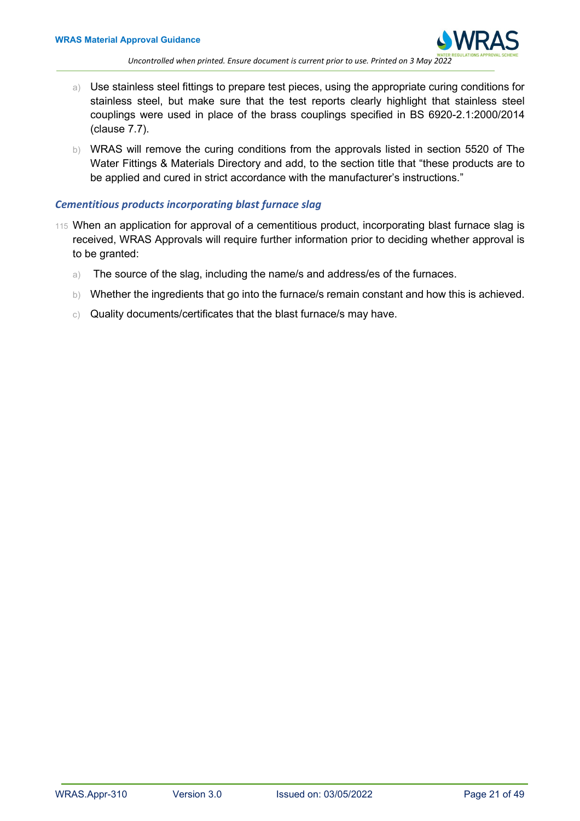

- a) Use stainless steel fittings to prepare test pieces, using the appropriate curing conditions for stainless steel, but make sure that the test reports clearly highlight that stainless steel couplings were used in place of the brass couplings specified in BS 6920-2.1:2000/2014 (clause 7.7).
- b) WRAS will remove the curing conditions from the approvals listed in section 5520 of The Water Fittings & Materials Directory and add, to the section title that "these products are to be applied and cured in strict accordance with the manufacturer's instructions."

## <span id="page-20-0"></span>*Cementitious products incorporating blast furnace slag*

- <span id="page-20-1"></span>115 When an application for approval of a cementitious product, incorporating blast furnace slag is received, WRAS Approvals will require further information prior to deciding whether approval is to be granted:
	- a) The source of the slag, including the name/s and address/es of the furnaces.
	- b) Whether the ingredients that go into the furnace/s remain constant and how this is achieved.
	- c) Quality documents/certificates that the blast furnace/s may have.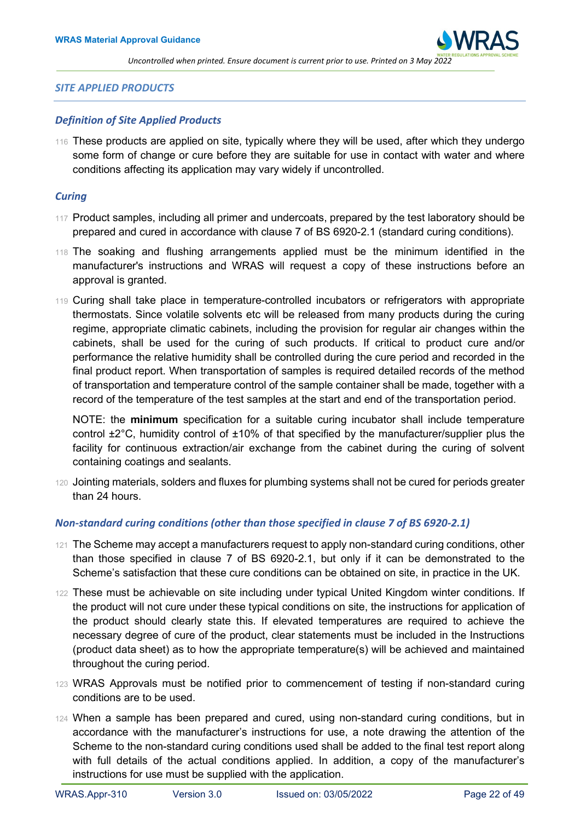

#### *SITE APPLIED PRODUCTS*

#### <span id="page-21-0"></span>*Definition of Site Applied Products*

116 These products are applied on site, typically where they will be used, after which they undergo some form of change or cure before they are suitable for use in contact with water and where conditions affecting its application may vary widely if uncontrolled.

#### <span id="page-21-1"></span>*Curing*

- 117 Product samples, including all primer and undercoats, prepared by the test laboratory should be prepared and cured in accordance with clause 7 of BS 6920-2.1 (standard curing conditions).
- 118 The soaking and flushing arrangements applied must be the minimum identified in the manufacturer's instructions and WRAS will request a copy of these instructions before an approval is granted.
- 119 Curing shall take place in temperature-controlled incubators or refrigerators with appropriate thermostats. Since volatile solvents etc will be released from many products during the curing regime, appropriate climatic cabinets, including the provision for regular air changes within the cabinets, shall be used for the curing of such products. If critical to product cure and/or performance the relative humidity shall be controlled during the cure period and recorded in the final product report. When transportation of samples is required detailed records of the method of transportation and temperature control of the sample container shall be made, together with a record of the temperature of the test samples at the start and end of the transportation period.

NOTE: the **minimum** specification for a suitable curing incubator shall include temperature control ±2°C, humidity control of ±10% of that specified by the manufacturer/supplier plus the facility for continuous extraction/air exchange from the cabinet during the curing of solvent containing coatings and sealants.

120 Jointing materials, solders and fluxes for plumbing systems shall not be cured for periods greater than 24 hours.

## <span id="page-21-2"></span>*Non-standard curing conditions (other than those specified in clause 7 of BS 6920-2.1)*

- 121 The Scheme may accept a manufacturers request to apply non-standard curing conditions, other than those specified in clause 7 of BS 6920-2.1, but only if it can be demonstrated to the Scheme's satisfaction that these cure conditions can be obtained on site, in practice in the UK.
- 122 These must be achievable on site including under typical United Kingdom winter conditions. If the product will not cure under these typical conditions on site, the instructions for application of the product should clearly state this. If elevated temperatures are required to achieve the necessary degree of cure of the product, clear statements must be included in the Instructions (product data sheet) as to how the appropriate temperature(s) will be achieved and maintained throughout the curing period.
- 123 WRAS Approvals must be notified prior to commencement of testing if non-standard curing conditions are to be used.
- 124 When a sample has been prepared and cured, using non-standard curing conditions, but in accordance with the manufacturer's instructions for use, a note drawing the attention of the Scheme to the non-standard curing conditions used shall be added to the final test report along with full details of the actual conditions applied. In addition, a copy of the manufacturer's instructions for use must be supplied with the application.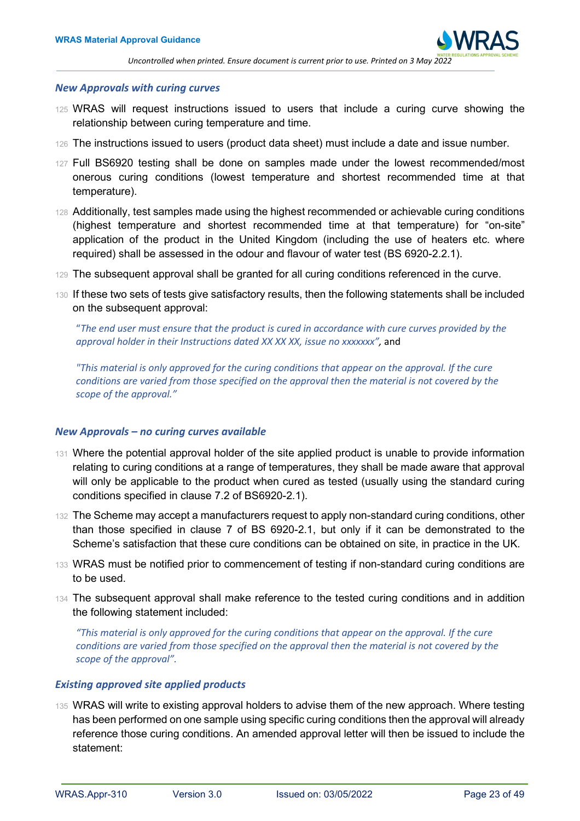

#### <span id="page-22-0"></span>*New Approvals with curing curves*

- 125 WRAS will request instructions issued to users that include a curing curve showing the relationship between curing temperature and time.
- 126 The instructions issued to users (product data sheet) must include a date and issue number.
- 127 Full BS6920 testing shall be done on samples made under the lowest recommended/most onerous curing conditions (lowest temperature and shortest recommended time at that temperature).
- 128 Additionally, test samples made using the highest recommended or achievable curing conditions (highest temperature and shortest recommended time at that temperature) for "on-site" application of the product in the United Kingdom (including the use of heaters etc. where required) shall be assessed in the odour and flavour of water test (BS 6920-2.2.1).
- 129 The subsequent approval shall be granted for all curing conditions referenced in the curve.
- 130 If these two sets of tests give satisfactory results, then the following statements shall be included on the subsequent approval:

"*The end user must ensure that the product is cured in accordance with cure curves provided by the approval holder in their Instructions dated XX XX XX, issue no xxxxxxx",* and

*"This material is only approved for the curing conditions that appear on the approval. If the cure conditions are varied from those specified on the approval then the material is not covered by the scope of the approval."*

#### <span id="page-22-1"></span>*New Approvals – no curing curves available*

- 131 Where the potential approval holder of the site applied product is unable to provide information relating to curing conditions at a range of temperatures, they shall be made aware that approval will only be applicable to the product when cured as tested (usually using the standard curing conditions specified in clause 7.2 of BS6920-2.1).
- 132 The Scheme may accept a manufacturers request to apply non-standard curing conditions, other than those specified in clause 7 of BS 6920-2.1, but only if it can be demonstrated to the Scheme's satisfaction that these cure conditions can be obtained on site, in practice in the UK.
- 133 WRAS must be notified prior to commencement of testing if non-standard curing conditions are to be used.
- 134 The subsequent approval shall make reference to the tested curing conditions and in addition the following statement included:

*"This material is only approved for the curing conditions that appear on the approval. If the cure conditions are varied from those specified on the approval then the material is not covered by the scope of the approval".*

## <span id="page-22-2"></span>*Existing approved site applied products*

135 WRAS will write to existing approval holders to advise them of the new approach. Where testing has been performed on one sample using specific curing conditions then the approval will already reference those curing conditions. An amended approval letter will then be issued to include the statement: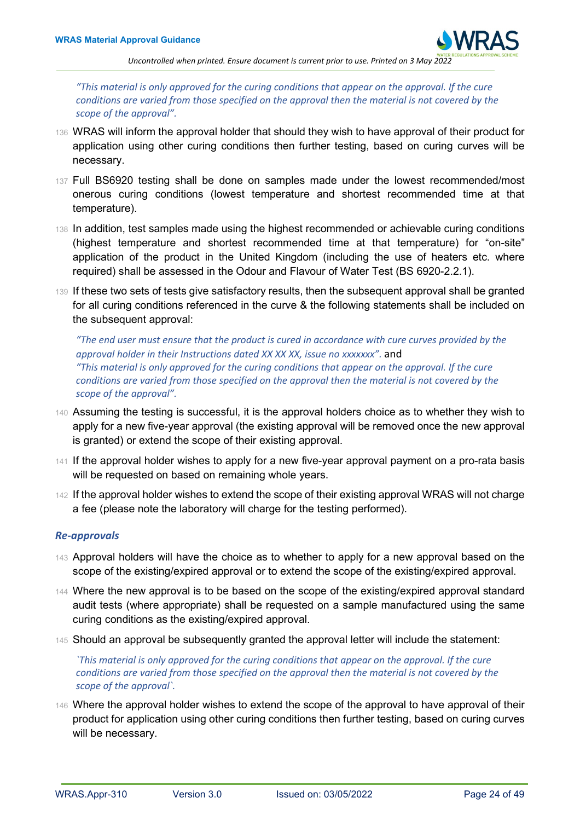

*"This material is only approved for the curing conditions that appear on the approval. If the cure conditions are varied from those specified on the approval then the material is not covered by the scope of the approval".*

- 136 WRAS will inform the approval holder that should they wish to have approval of their product for application using other curing conditions then further testing, based on curing curves will be necessary.
- 137 Full BS6920 testing shall be done on samples made under the lowest recommended/most onerous curing conditions (lowest temperature and shortest recommended time at that temperature).
- 138 In addition, test samples made using the highest recommended or achievable curing conditions (highest temperature and shortest recommended time at that temperature) for "on-site" application of the product in the United Kingdom (including the use of heaters etc. where required) shall be assessed in the Odour and Flavour of Water Test (BS 6920-2.2.1).
- 139 If these two sets of tests give satisfactory results, then the subsequent approval shall be granted for all curing conditions referenced in the curve & the following statements shall be included on the subsequent approval:

*"The end user must ensure that the product is cured in accordance with cure curves provided by the approval holder in their Instructions dated XX XX XX, issue no xxxxxxx".* and *"This material is only approved for the curing conditions that appear on the approval. If the cure conditions are varied from those specified on the approval then the material is not covered by the scope of the approval".*

- 140 Assuming the testing is successful, it is the approval holders choice as to whether they wish to apply for a new five-year approval (the existing approval will be removed once the new approval is granted) or extend the scope of their existing approval.
- 141 If the approval holder wishes to apply for a new five-year approval payment on a pro-rata basis will be requested on based on remaining whole years.
- 142 If the approval holder wishes to extend the scope of their existing approval WRAS will not charge a fee (please note the laboratory will charge for the testing performed).

## <span id="page-23-0"></span>*Re-approvals*

- 143 Approval holders will have the choice as to whether to apply for a new approval based on the scope of the existing/expired approval or to extend the scope of the existing/expired approval.
- 144 Where the new approval is to be based on the scope of the existing/expired approval standard audit tests (where appropriate) shall be requested on a sample manufactured using the same curing conditions as the existing/expired approval.
- 145 Should an approval be subsequently granted the approval letter will include the statement:

*`This material is only approved for the curing conditions that appear on the approval. If the cure conditions are varied from those specified on the approval then the material is not covered by the scope of the approval`.*

146 Where the approval holder wishes to extend the scope of the approval to have approval of their product for application using other curing conditions then further testing, based on curing curves will be necessary.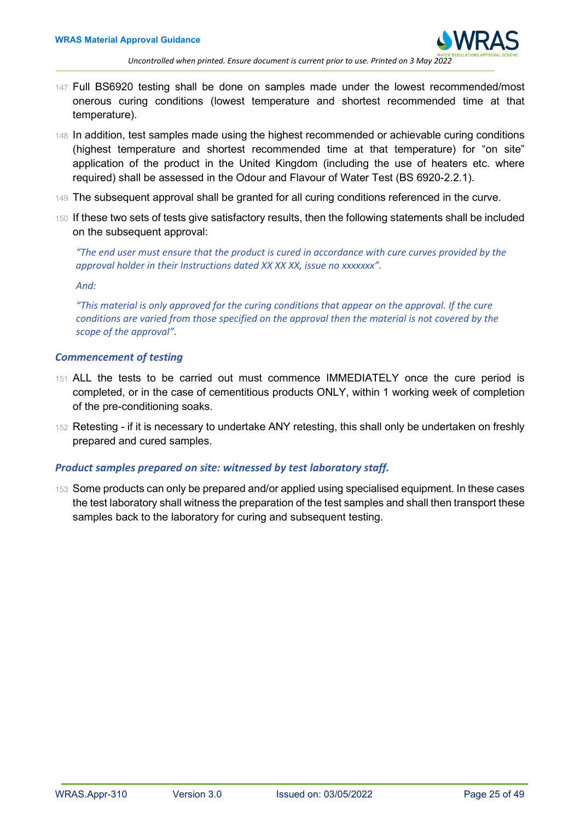- 147 Full BS6920 testing shall be done on samples made under the lowest recommended/most onerous curing conditions (lowest temperature and shortest recommended time at that temperature).
- 148 In addition, test samples made using the highest recommended or achievable curing conditions (highest temperature and shortest recommended time at that temperature) for "on site" application of the product in the United Kingdom (including the use of heaters etc. where required) shall be assessed in the Odour and Flavour of Water Test (BS 6920-2.2.1).
- 149 The subsequent approval shall be granted for all curing conditions referenced in the curve.
- 150 If these two sets of tests give satisfactory results, then the following statements shall be included on the subsequent approval:

*"The end user must ensure that the product is cured in accordance with cure curves provided by the approval holder in their Instructions dated XX XX XX, issue no xxxxxxx".*

*And:*

*"This material is only approved for the curing conditions that appear on the approval. If the cure conditions are varied from those specified on the approval then the material is not covered by the scope of the approval".*

## <span id="page-24-0"></span>*Commencement of testing*

- 151 ALL the tests to be carried out must commence IMMEDIATELY once the cure period is completed, or in the case of cementitious products ONLY, within 1 working week of completion of the pre-conditioning soaks.
- 152 Retesting if it is necessary to undertake ANY retesting, this shall only be undertaken on freshly prepared and cured samples.

## <span id="page-24-1"></span>*Product samples prepared on site: witnessed by test laboratory staff.*

<span id="page-24-2"></span>153 Some products can only be prepared and/or applied using specialised equipment. In these cases the test laboratory shall witness the preparation of the test samples and shall then transport these samples back to the laboratory for curing and subsequent testing.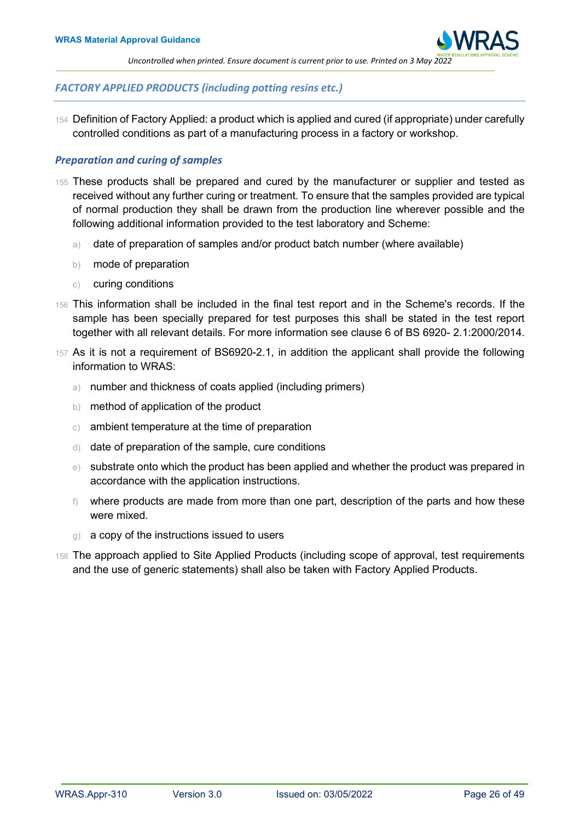

## *FACTORY APPLIED PRODUCTS (including potting resins etc.)*

154 Definition of Factory Applied: a product which is applied and cured (if appropriate) under carefully controlled conditions as part of a manufacturing process in a factory or workshop.

## <span id="page-25-0"></span>*Preparation and curing of samples*

- 155 These products shall be prepared and cured by the manufacturer or supplier and tested as received without any further curing or treatment. To ensure that the samples provided are typical of normal production they shall be drawn from the production line wherever possible and the following additional information provided to the test laboratory and Scheme:
	- a) date of preparation of samples and/or product batch number (where available)
	- b) mode of preparation
	- c) curing conditions
- 156 This information shall be included in the final test report and in the Scheme's records. If the sample has been specially prepared for test purposes this shall be stated in the test report together with all relevant details. For more information see clause 6 of BS 6920- 2.1:2000/2014.
- 157 As it is not a requirement of BS6920-2.1, in addition the applicant shall provide the following information to WRAS:
	- a) number and thickness of coats applied (including primers)
	- b) method of application of the product
	- c) ambient temperature at the time of preparation
	- d) date of preparation of the sample, cure conditions
	- e) substrate onto which the product has been applied and whether the product was prepared in accordance with the application instructions.
	- f) where products are made from more than one part, description of the parts and how these were mixed.
	- g) a copy of the instructions issued to users
- <span id="page-25-1"></span>158 The approach applied to Site Applied Products (including scope of approval, test requirements and the use of generic statements) shall also be taken with Factory Applied Products.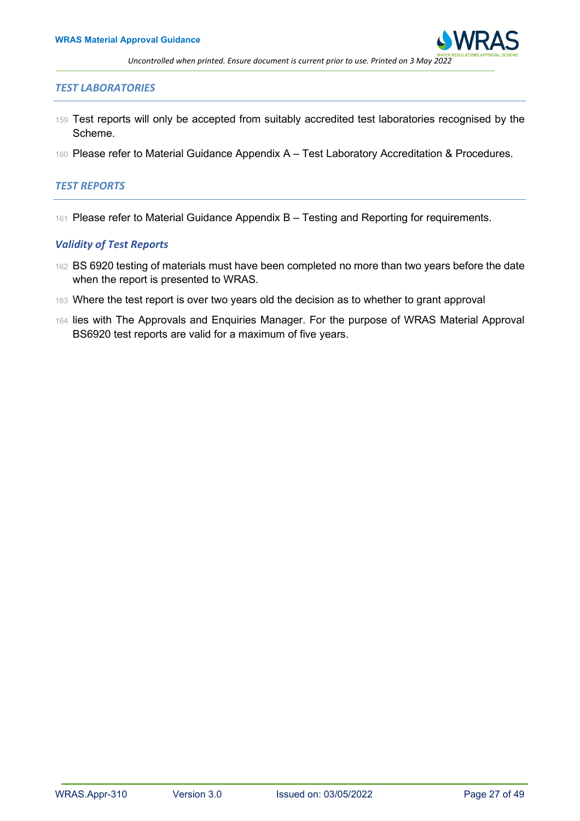

#### *TEST LABORATORIES*

- 159 Test reports will only be accepted from suitably accredited test laboratories recognised by the Scheme.
- 160 Please refer to Material Guidance Appendix A Test Laboratory Accreditation & Procedures.

#### <span id="page-26-0"></span>*TEST REPORTS*

161 Please refer to Material Guidance Appendix B – Testing and Reporting for requirements.

## <span id="page-26-1"></span>*Validity of Test Reports*

- 162 BS 6920 testing of materials must have been completed no more than two years before the date when the report is presented to WRAS.
- 163 Where the test report is over two years old the decision as to whether to grant approval
- <span id="page-26-2"></span>164 lies with The Approvals and Enquiries Manager. For the purpose of WRAS Material Approval BS6920 test reports are valid for a maximum of five years.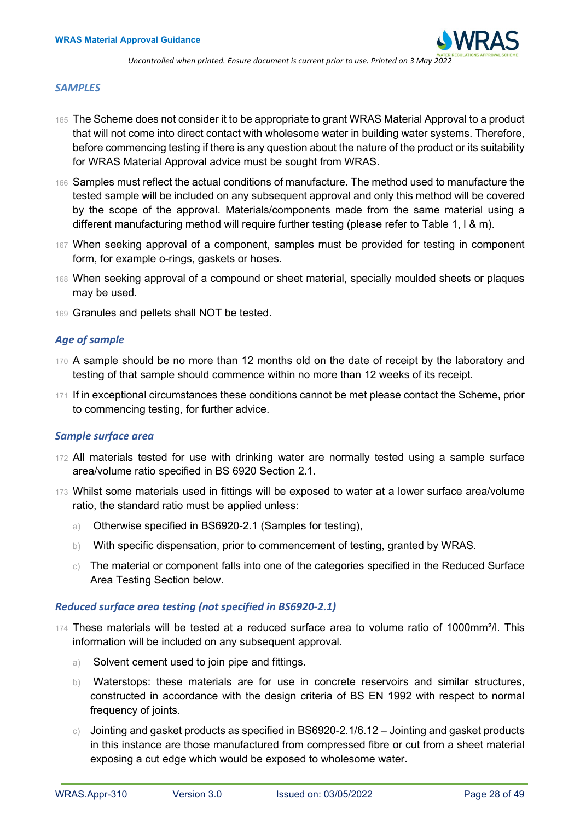

#### *SAMPLES*

- 165 The Scheme does not consider it to be appropriate to grant WRAS Material Approval to a product that will not come into direct contact with wholesome water in building water systems. Therefore, before commencing testing if there is any question about the nature of the product or its suitability for WRAS Material Approval advice must be sought from WRAS.
- 166 Samples must reflect the actual conditions of manufacture. The method used to manufacture the tested sample will be included on any subsequent approval and only this method will be covered by the scope of the approval. Materials/components made from the same material using a different manufacturing method will require further testing (please refer to Table 1, l & m).
- 167 When seeking approval of a component, samples must be provided for testing in component form, for example o-rings, gaskets or hoses.
- 168 When seeking approval of a compound or sheet material, specially moulded sheets or plaques may be used.
- 169 Granules and pellets shall NOT be tested.

## <span id="page-27-0"></span>*Age of sample*

- 170 A sample should be no more than 12 months old on the date of receipt by the laboratory and testing of that sample should commence within no more than 12 weeks of its receipt.
- 171 If in exceptional circumstances these conditions cannot be met please contact the Scheme, prior to commencing testing, for further advice.

## <span id="page-27-1"></span>*Sample surface area*

- 172 All materials tested for use with drinking water are normally tested using a sample surface area/volume ratio specified in BS 6920 Section 2.1.
- 173 Whilst some materials used in fittings will be exposed to water at a lower surface area/volume ratio, the standard ratio must be applied unless:
	- a) Otherwise specified in BS6920-2.1 (Samples for testing),
	- b) With specific dispensation, prior to commencement of testing, granted by WRAS.
	- $\circ$ ) The material or component falls into one of the categories specified in the Reduced Surface Area Testing Section below.

## <span id="page-27-2"></span>*Reduced surface area testing (not specified in BS6920-2.1)*

- 174 These materials will be tested at a reduced surface area to volume ratio of 1000mm²/l. This information will be included on any subsequent approval.
	- a) Solvent cement used to join pipe and fittings.
	- b) Waterstops: these materials are for use in concrete reservoirs and similar structures, constructed in accordance with the design criteria of BS EN 1992 with respect to normal frequency of joints.
	- c) Jointing and gasket products as specified in BS6920-2.1/6.12 Jointing and gasket products in this instance are those manufactured from compressed fibre or cut from a sheet material exposing a cut edge which would be exposed to wholesome water.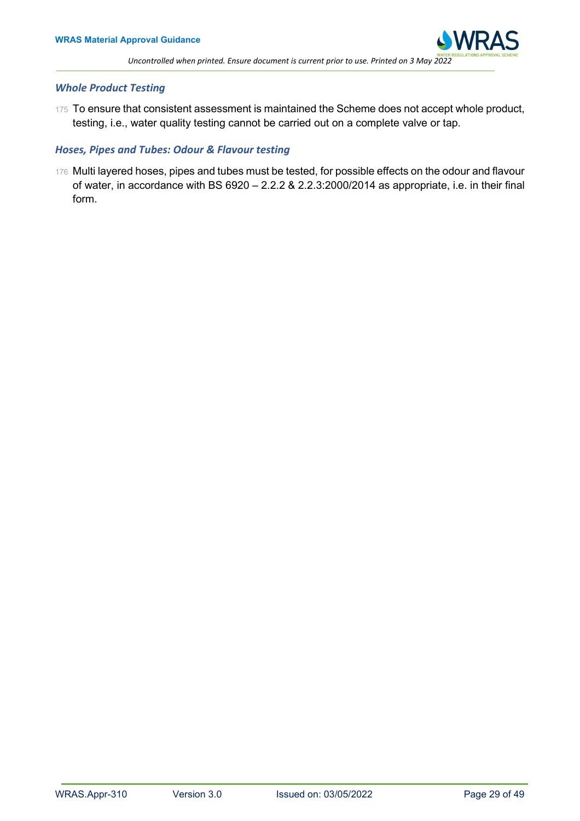

## <span id="page-28-0"></span>*Whole Product Testing*

175 To ensure that consistent assessment is maintained the Scheme does not accept whole product, testing, i.e., water quality testing cannot be carried out on a complete valve or tap.

## <span id="page-28-1"></span>*Hoses, Pipes and Tubes: Odour & Flavour testing*

<span id="page-28-2"></span>176 Multi layered hoses, pipes and tubes must be tested, for possible effects on the odour and flavour of water, in accordance with BS 6920 – 2.2.2 & 2.2.3:2000/2014 as appropriate, i.e. in their final form.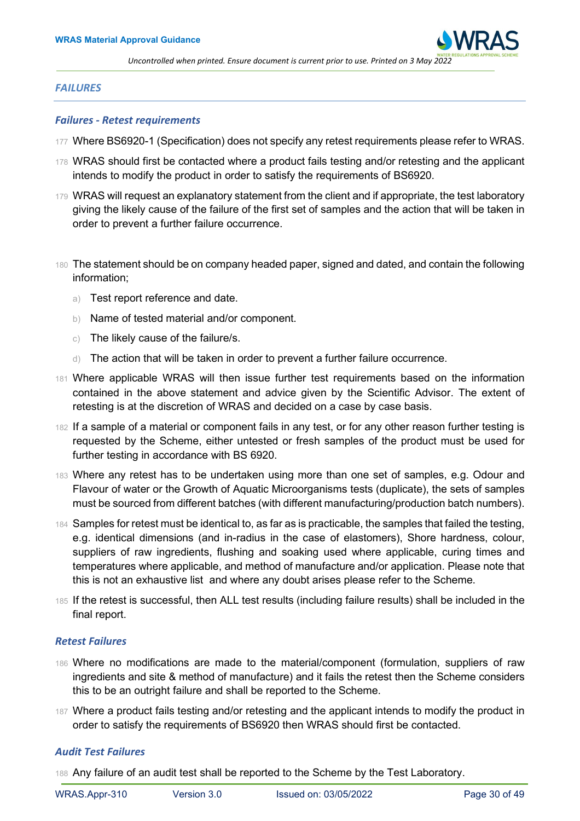

#### *FAILURES*

#### <span id="page-29-0"></span>*Failures - Retest requirements*

- 177 Where BS6920-1 (Specification) does not specify any retest requirements please refer to WRAS.
- 178 WRAS should first be contacted where a product fails testing and/or retesting and the applicant intends to modify the product in order to satisfy the requirements of BS6920.
- 179 WRAS will request an explanatory statement from the client and if appropriate, the test laboratory giving the likely cause of the failure of the first set of samples and the action that will be taken in order to prevent a further failure occurrence.
- 180 The statement should be on company headed paper, signed and dated, and contain the following information;
	- a) Test report reference and date.
	- b) Name of tested material and/or component.
	- c) The likely cause of the failure/s.
	- d) The action that will be taken in order to prevent a further failure occurrence.
- 181 Where applicable WRAS will then issue further test requirements based on the information contained in the above statement and advice given by the Scientific Advisor. The extent of retesting is at the discretion of WRAS and decided on a case by case basis.
- 182 If a sample of a material or component fails in any test, or for any other reason further testing is requested by the Scheme, either untested or fresh samples of the product must be used for further testing in accordance with BS 6920.
- 183 Where any retest has to be undertaken using more than one set of samples, e.g. Odour and Flavour of water or the Growth of Aquatic Microorganisms tests (duplicate), the sets of samples must be sourced from different batches (with different manufacturing/production batch numbers).
- 184 Samples for retest must be identical to, as far as is practicable, the samples that failed the testing, e.g. identical dimensions (and in-radius in the case of elastomers), Shore hardness, colour, suppliers of raw ingredients, flushing and soaking used where applicable, curing times and temperatures where applicable, and method of manufacture and/or application. Please note that this is not an exhaustive list and where any doubt arises please refer to the Scheme.
- 185 If the retest is successful, then ALL test results (including failure results) shall be included in the final report.

## <span id="page-29-1"></span>*Retest Failures*

- 186 Where no modifications are made to the material/component (formulation, suppliers of raw ingredients and site & method of manufacture) and it fails the retest then the Scheme considers this to be an outright failure and shall be reported to the Scheme.
- 187 Where a product fails testing and/or retesting and the applicant intends to modify the product in order to satisfy the requirements of BS6920 then WRAS should first be contacted.

#### <span id="page-29-2"></span>*Audit Test Failures*

188 Any failure of an audit test shall be reported to the Scheme by the Test Laboratory.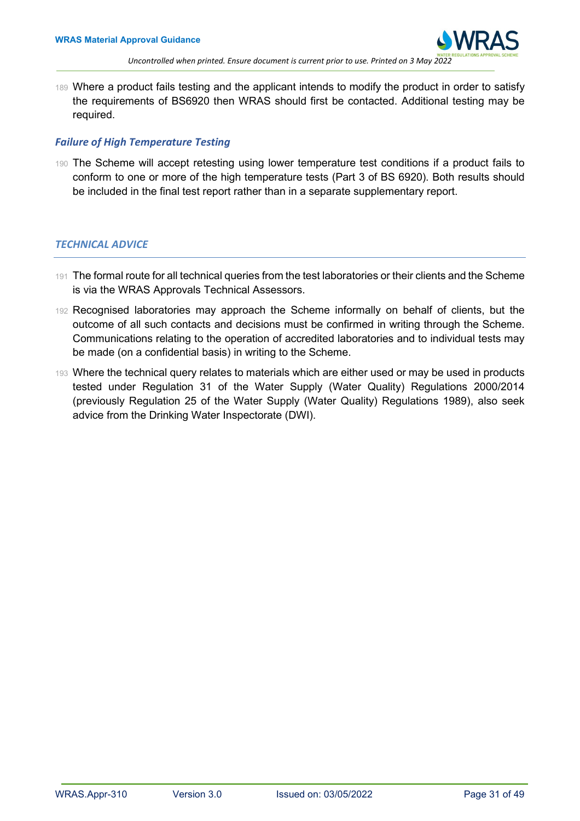

189 Where a product fails testing and the applicant intends to modify the product in order to satisfy the requirements of BS6920 then WRAS should first be contacted. Additional testing may be required.

## <span id="page-30-0"></span>*Failure of High Temperature Testing*

190 The Scheme will accept retesting using lower temperature test conditions if a product fails to conform to one or more of the high temperature tests (Part 3 of BS 6920). Both results should be included in the final test report rather than in a separate supplementary report.

## <span id="page-30-1"></span>*TECHNICAL ADVICE*

- 191 The formal route for all technical queries from the test laboratories or their clients and the Scheme is via the WRAS Approvals Technical Assessors.
- 192 Recognised laboratories may approach the Scheme informally on behalf of clients, but the outcome of all such contacts and decisions must be confirmed in writing through the Scheme. Communications relating to the operation of accredited laboratories and to individual tests may be made (on a confidential basis) in writing to the Scheme.
- 193 Where the technical query relates to materials which are either used or may be used in products tested under Regulation 31 of the Water Supply (Water Quality) Regulations 2000/2014 (previously Regulation 25 of the Water Supply (Water Quality) Regulations 1989), also seek advice from the Drinking Water Inspectorate (DWI).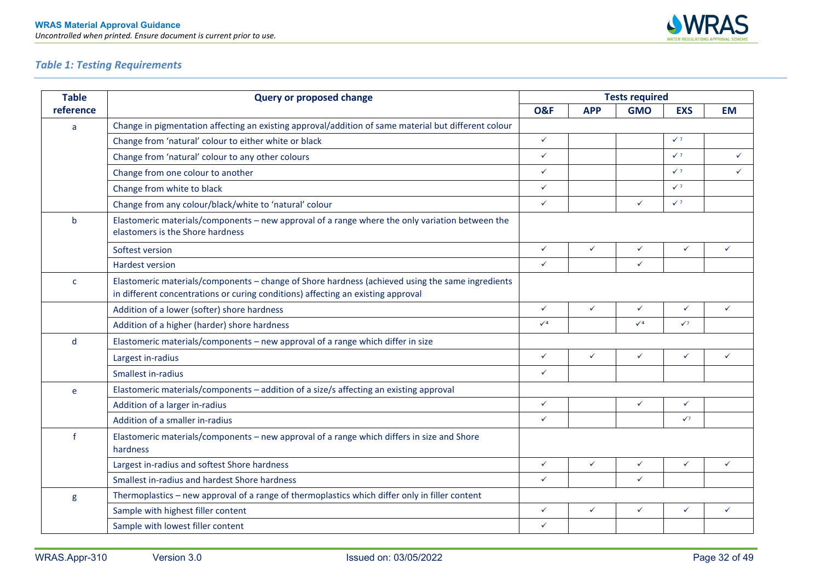

## *Table 1: Testing Requirements*

<span id="page-31-0"></span>

| <b>Table</b> | <b>Query or proposed change</b>                                                                                                                                                      | <b>Tests required</b> |              |              |                |              |  |  |
|--------------|--------------------------------------------------------------------------------------------------------------------------------------------------------------------------------------|-----------------------|--------------|--------------|----------------|--------------|--|--|
| reference    |                                                                                                                                                                                      | <b>O&amp;F</b>        | <b>APP</b>   | <b>GMO</b>   | <b>EXS</b>     | <b>EM</b>    |  |  |
| a            | Change in pigmentation affecting an existing approval/addition of same material but different colour                                                                                 |                       |              |              |                |              |  |  |
|              | Change from 'natural' colour to either white or black                                                                                                                                | $\checkmark$          |              |              | $\sqrt{7}$     |              |  |  |
|              | Change from 'natural' colour to any other colours                                                                                                                                    | $\checkmark$          |              |              | $\checkmark$ 7 | $\checkmark$ |  |  |
|              | Change from one colour to another                                                                                                                                                    | $\checkmark$          |              |              | $\sqrt{7}$     | $\checkmark$ |  |  |
|              | Change from white to black                                                                                                                                                           | $\checkmark$          |              |              | $\sqrt{7}$     |              |  |  |
|              | Change from any colour/black/white to 'natural' colour                                                                                                                               | $\checkmark$          |              | $\checkmark$ | $\checkmark$ 7 |              |  |  |
| $\mathsf b$  | Elastomeric materials/components - new approval of a range where the only variation between the<br>elastomers is the Shore hardness                                                  |                       |              |              |                |              |  |  |
|              | Softest version                                                                                                                                                                      | $\checkmark$          | $\checkmark$ | $\checkmark$ | $\checkmark$   | ✓            |  |  |
|              | <b>Hardest version</b>                                                                                                                                                               | $\checkmark$          |              | $\checkmark$ |                |              |  |  |
| $\mathsf{C}$ | Elastomeric materials/components - change of Shore hardness (achieved using the same ingredients<br>in different concentrations or curing conditions) affecting an existing approval |                       |              |              |                |              |  |  |
|              | Addition of a lower (softer) shore hardness                                                                                                                                          | $\checkmark$          | $\checkmark$ | $\checkmark$ | $\checkmark$   | ✓            |  |  |
|              | Addition of a higher (harder) shore hardness                                                                                                                                         | $\sqrt{4}$            |              | $\sqrt{4}$   | $\sqrt{7}$     |              |  |  |
| d            | Elastomeric materials/components - new approval of a range which differ in size                                                                                                      |                       |              |              |                |              |  |  |
|              | Largest in-radius                                                                                                                                                                    | $\checkmark$          | $\checkmark$ | $\checkmark$ | $\checkmark$   | $\checkmark$ |  |  |
|              | <b>Smallest in-radius</b>                                                                                                                                                            | $\checkmark$          |              |              |                |              |  |  |
| e            | Elastomeric materials/components - addition of a size/s affecting an existing approval                                                                                               |                       |              |              |                |              |  |  |
|              | Addition of a larger in-radius                                                                                                                                                       | $\checkmark$          |              | $\checkmark$ | $\checkmark$   |              |  |  |
|              | Addition of a smaller in-radius                                                                                                                                                      | $\checkmark$          |              |              | $\sqrt{7}$     |              |  |  |
| $\mathbf{f}$ | Elastomeric materials/components - new approval of a range which differs in size and Shore<br>hardness                                                                               |                       |              |              |                |              |  |  |
|              | Largest in-radius and softest Shore hardness                                                                                                                                         | $\checkmark$          | ✓            | $\checkmark$ | $\checkmark$   | ✓            |  |  |
|              | Smallest in-radius and hardest Shore hardness                                                                                                                                        | $\checkmark$          |              | $\checkmark$ |                |              |  |  |
| g            | Thermoplastics - new approval of a range of thermoplastics which differ only in filler content                                                                                       |                       |              |              |                |              |  |  |
|              | Sample with highest filler content                                                                                                                                                   | $\checkmark$          | $\checkmark$ | $\checkmark$ | $\checkmark$   | $\checkmark$ |  |  |
|              | Sample with lowest filler content                                                                                                                                                    | $\checkmark$          |              |              |                |              |  |  |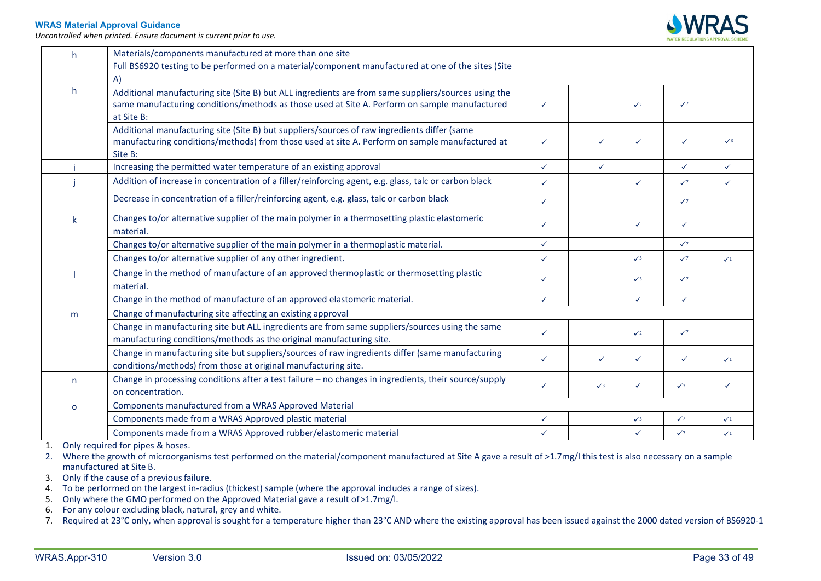*Uncontrolled when printed. Ensure document is current prior to use.* 



| h.           | Materials/components manufactured at more than one site<br>Full BS6920 testing to be performed on a material/component manufactured at one of the sites (Site                                             |              |              |              |              |              |
|--------------|-----------------------------------------------------------------------------------------------------------------------------------------------------------------------------------------------------------|--------------|--------------|--------------|--------------|--------------|
|              | A)                                                                                                                                                                                                        |              |              |              |              |              |
| h.           | Additional manufacturing site (Site B) but ALL ingredients are from same suppliers/sources using the<br>same manufacturing conditions/methods as those used at Site A. Perform on sample manufactured     | $\checkmark$ |              | $\sqrt{2}$   | $\sqrt{7}$   |              |
|              | at Site B:                                                                                                                                                                                                |              |              |              |              |              |
|              | Additional manufacturing site (Site B) but suppliers/sources of raw ingredients differ (same<br>manufacturing conditions/methods) from those used at site A. Perform on sample manufactured at<br>Site B: | $\checkmark$ | $\checkmark$ | ✓            | $\checkmark$ | $\checkmark$ |
|              | Increasing the permitted water temperature of an existing approval                                                                                                                                        | $\checkmark$ | $\checkmark$ |              | $\checkmark$ | $\checkmark$ |
|              | Addition of increase in concentration of a filler/reinforcing agent, e.g. glass, talc or carbon black                                                                                                     | $\checkmark$ |              | $\checkmark$ | $\sqrt{7}$   | $\checkmark$ |
|              | Decrease in concentration of a filler/reinforcing agent, e.g. glass, talc or carbon black                                                                                                                 | $\checkmark$ |              |              | $\sqrt{7}$   |              |
| k            | Changes to/or alternative supplier of the main polymer in a thermosetting plastic elastomeric<br>material.                                                                                                | $\checkmark$ |              | $\checkmark$ | $\checkmark$ |              |
|              | Changes to/or alternative supplier of the main polymer in a thermoplastic material.                                                                                                                       | $\checkmark$ |              |              | $\sqrt{7}$   |              |
|              | Changes to/or alternative supplier of any other ingredient.                                                                                                                                               | $\checkmark$ |              | $\sqrt{5}$   | $\sqrt{7}$   | $\sqrt{1}$   |
|              | Change in the method of manufacture of an approved thermoplastic or thermosetting plastic<br>material.                                                                                                    | $\checkmark$ |              | $\sqrt{5}$   | $\sqrt{7}$   |              |
|              | Change in the method of manufacture of an approved elastomeric material.                                                                                                                                  | $\checkmark$ |              | $\checkmark$ | $\checkmark$ |              |
| m            | Change of manufacturing site affecting an existing approval                                                                                                                                               |              |              |              |              |              |
|              | Change in manufacturing site but ALL ingredients are from same suppliers/sources using the same<br>manufacturing conditions/methods as the original manufacturing site.                                   | $\checkmark$ |              | $\sqrt{2}$   | $\sqrt{7}$   |              |
|              | Change in manufacturing site but suppliers/sources of raw ingredients differ (same manufacturing<br>conditions/methods) from those at original manufacturing site.                                        | $\checkmark$ | $\checkmark$ | ✓            | $\checkmark$ | $\sqrt{1}$   |
| n.           | Change in processing conditions after a test failure - no changes in ingredients, their source/supply<br>on concentration.                                                                                | ✓            | $\sqrt{3}$   | ✓            | $\sqrt{3}$   |              |
| $\mathsf{o}$ | Components manufactured from a WRAS Approved Material                                                                                                                                                     |              |              |              |              |              |
|              | Components made from a WRAS Approved plastic material                                                                                                                                                     | $\checkmark$ |              | $\sqrt{5}$   | $\sqrt{7}$   | $\sqrt{1}$   |
|              | Components made from a WRAS Approved rubber/elastomeric material                                                                                                                                          | $\checkmark$ |              | $\checkmark$ | $\sqrt{7}$   | $\sqrt{1}$   |

1. Only required for pipes & hoses.

2. Where the growth of microorganisms test performed on the material/component manufactured at Site A gave a result of >1.7mg/l this test is also necessary on a sample manufactured at Site B.

3. Only if the cause of a previous failure.

4. To be performed on the largest in-radius (thickest) sample (where the approval includes a range of sizes).

5. Only where the GMO performed on the Approved Material gave a result of>1.7mg/l.

6. For any colour excluding black, natural, grey and white.

7. Required at 23°C only, when approval is sought for a temperature higher than 23°C AND where the existing approval has been issued against the 2000 dated version of BS6920-1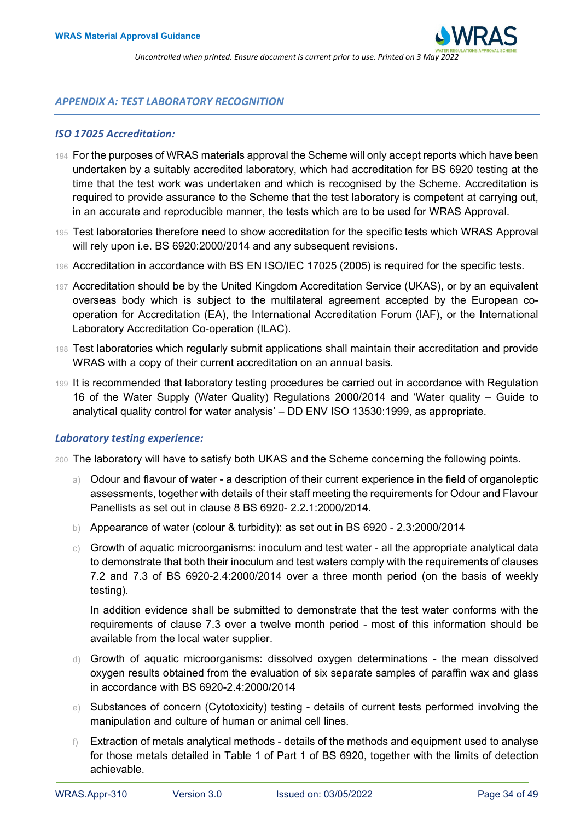

#### <span id="page-33-0"></span>*APPENDIX A: TEST LABORATORY RECOGNITION*

#### <span id="page-33-1"></span>*ISO 17025 Accreditation:*

- 194 For the purposes of WRAS materials approval the Scheme will only accept reports which have been undertaken by a suitably accredited laboratory, which had accreditation for BS 6920 testing at the time that the test work was undertaken and which is recognised by the Scheme. Accreditation is required to provide assurance to the Scheme that the test laboratory is competent at carrying out, in an accurate and reproducible manner, the tests which are to be used for WRAS Approval.
- 195 Test laboratories therefore need to show accreditation for the specific tests which WRAS Approval will rely upon i.e. BS 6920:2000/2014 and any subsequent revisions.
- 196 Accreditation in accordance with BS EN ISO/IEC 17025 (2005) is required for the specific tests.
- 197 Accreditation should be by the United Kingdom Accreditation Service (UKAS), or by an equivalent overseas body which is subject to the multilateral agreement accepted by the European cooperation for Accreditation (EA), the International Accreditation Forum (IAF), or the International Laboratory Accreditation Co-operation (ILAC).
- 198 Test laboratories which regularly submit applications shall maintain their accreditation and provide WRAS with a copy of their current accreditation on an annual basis.
- 199 It is recommended that laboratory testing procedures be carried out in accordance with Regulation 16 of the Water Supply (Water Quality) Regulations 2000/2014 and 'Water quality – Guide to analytical quality control for water analysis' – DD ENV ISO 13530:1999, as appropriate.

## <span id="page-33-2"></span>*Laboratory testing experience:*

- 200 The laboratory will have to satisfy both UKAS and the Scheme concerning the following points.
	- a) Odour and flavour of water a description of their current experience in the field of organoleptic assessments, together with details of their staff meeting the requirements for Odour and Flavour Panellists as set out in clause 8 BS 6920- 2.2.1:2000/2014.
	- b) Appearance of water (colour & turbidity): as set out in BS 6920 2.3:2000/2014
	- $\circ$ ) Growth of aquatic microorganisms: inoculum and test water all the appropriate analytical data to demonstrate that both their inoculum and test waters comply with the requirements of clauses 7.2 and 7.3 of BS 6920-2.4:2000/2014 over a three month period (on the basis of weekly testing).

In addition evidence shall be submitted to demonstrate that the test water conforms with the requirements of clause 7.3 over a twelve month period - most of this information should be available from the local water supplier.

- d) Growth of aquatic microorganisms: dissolved oxygen determinations the mean dissolved oxygen results obtained from the evaluation of six separate samples of paraffin wax and glass in accordance with BS 6920-2.4:2000/2014
- e) Substances of concern (Cytotoxicity) testing details of current tests performed involving the manipulation and culture of human or animal cell lines.
- $\uparrow$  Extraction of metals analytical methods details of the methods and equipment used to analyse for those metals detailed in Table 1 of Part 1 of BS 6920, together with the limits of detection achievable.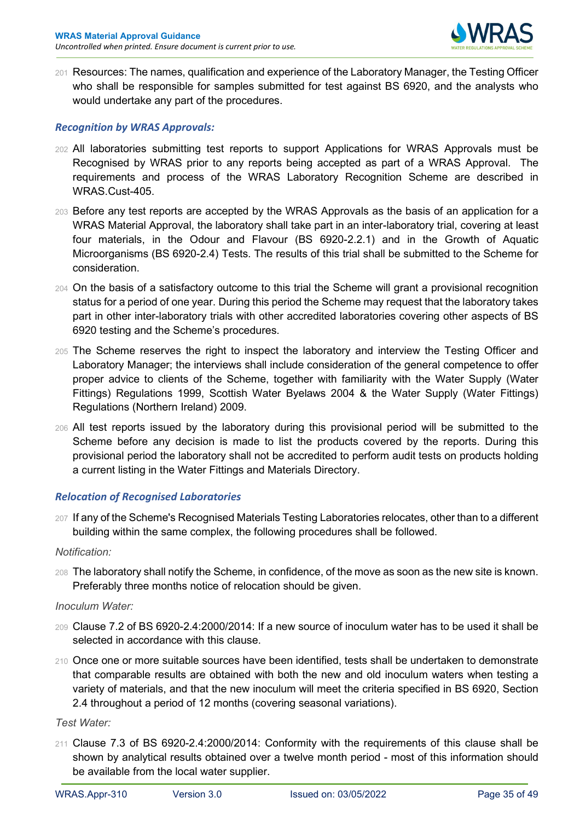

201 Resources: The names, qualification and experience of the Laboratory Manager, the Testing Officer who shall be responsible for samples submitted for test against BS 6920, and the analysts who would undertake any part of the procedures.

## <span id="page-34-0"></span>*Recognition by WRAS Approvals:*

- 202 All laboratories submitting test reports to support Applications for WRAS Approvals must be Recognised by WRAS prior to any reports being accepted as part of a WRAS Approval. The requirements and process of the WRAS Laboratory Recognition Scheme are described in WRAS.Cust-405.
- 203 Before any test reports are accepted by the WRAS Approvals as the basis of an application for a WRAS Material Approval, the laboratory shall take part in an inter-laboratory trial, covering at least four materials, in the Odour and Flavour (BS 6920-2.2.1) and in the Growth of Aquatic Microorganisms (BS 6920-2.4) Tests. The results of this trial shall be submitted to the Scheme for consideration.
- 204 On the basis of a satisfactory outcome to this trial the Scheme will grant a provisional recognition status for a period of one year. During this period the Scheme may request that the laboratory takes part in other inter-laboratory trials with other accredited laboratories covering other aspects of BS 6920 testing and the Scheme's procedures.
- 205 The Scheme reserves the right to inspect the laboratory and interview the Testing Officer and Laboratory Manager; the interviews shall include consideration of the general competence to offer proper advice to clients of the Scheme, together with familiarity with the Water Supply (Water Fittings) Regulations 1999, Scottish Water Byelaws 2004 & the Water Supply (Water Fittings) Regulations (Northern Ireland) 2009.
- 206 All test reports issued by the laboratory during this provisional period will be submitted to the Scheme before any decision is made to list the products covered by the reports. During this provisional period the laboratory shall not be accredited to perform audit tests on products holding a current listing in the Water Fittings and Materials Directory.

## <span id="page-34-1"></span>*Relocation of Recognised Laboratories*

207 If any of the Scheme's Recognised Materials Testing Laboratories relocates, other than to a different building within the same complex, the following procedures shall be followed.

## *Notification:*

208 The laboratory shall notify the Scheme, in confidence, of the move as soon as the new site is known. Preferably three months notice of relocation should be given.

## *Inoculum Water:*

- 209 Clause 7.2 of BS 6920-2.4:2000/2014: If a new source of inoculum water has to be used it shall be selected in accordance with this clause.
- 210 Once one or more suitable sources have been identified, tests shall be undertaken to demonstrate that comparable results are obtained with both the new and old inoculum waters when testing a variety of materials, and that the new inoculum will meet the criteria specified in BS 6920, Section 2.4 throughout a period of 12 months (covering seasonal variations).

## *Test Water:*

211 Clause 7.3 of BS 6920-2.4:2000/2014: Conformity with the requirements of this clause shall be shown by analytical results obtained over a twelve month period - most of this information should be available from the local water supplier.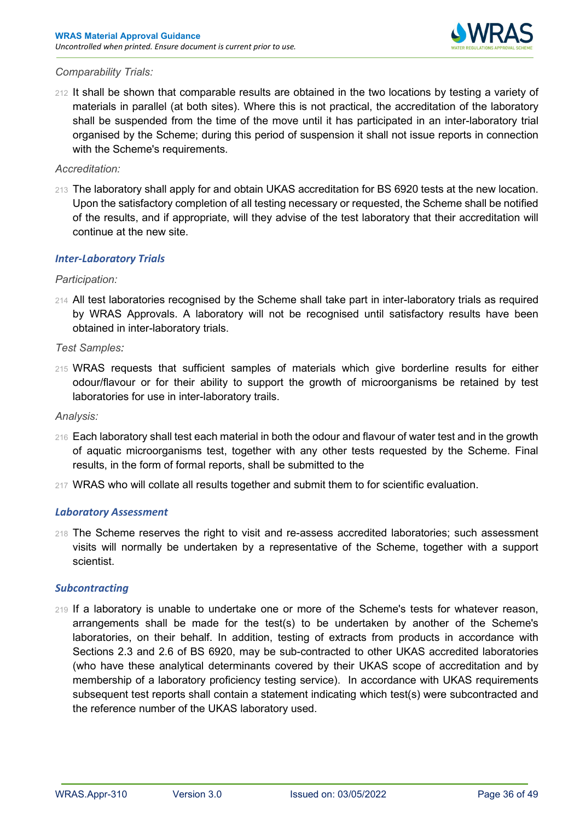

## *Comparability Trials:*

212 It shall be shown that comparable results are obtained in the two locations by testing a variety of materials in parallel (at both sites). Where this is not practical, the accreditation of the laboratory shall be suspended from the time of the move until it has participated in an inter-laboratory trial organised by the Scheme; during this period of suspension it shall not issue reports in connection with the Scheme's requirements.

## *Accreditation:*

213 The laboratory shall apply for and obtain UKAS accreditation for BS 6920 tests at the new location. Upon the satisfactory completion of all testing necessary or requested, the Scheme shall be notified of the results, and if appropriate, will they advise of the test laboratory that their accreditation will continue at the new site.

## <span id="page-35-0"></span>*Inter-Laboratory Trials*

## *Participation:*

214 All test laboratories recognised by the Scheme shall take part in inter-laboratory trials as required by WRAS Approvals. A laboratory will not be recognised until satisfactory results have been obtained in inter-laboratory trials.

## *Test Samples:*

215 WRAS requests that sufficient samples of materials which give borderline results for either odour/flavour or for their ability to support the growth of microorganisms be retained by test laboratories for use in inter-laboratory trails.

#### *Analysis:*

- 216 Each laboratory shall test each material in both the odour and flavour of water test and in the growth of aquatic microorganisms test, together with any other tests requested by the Scheme. Final results, in the form of formal reports, shall be submitted to the
- 217 WRAS who will collate all results together and submit them to for scientific evaluation.

#### <span id="page-35-1"></span>*Laboratory Assessment*

218 The Scheme reserves the right to visit and re-assess accredited laboratories; such assessment visits will normally be undertaken by a representative of the Scheme, together with a support scientist.

#### <span id="page-35-2"></span>*Subcontracting*

<span id="page-35-3"></span>219 If a laboratory is unable to undertake one or more of the Scheme's tests for whatever reason, arrangements shall be made for the test(s) to be undertaken by another of the Scheme's laboratories, on their behalf. In addition, testing of extracts from products in accordance with Sections 2.3 and 2.6 of BS 6920, may be sub-contracted to other UKAS accredited laboratories (who have these analytical determinants covered by their UKAS scope of accreditation and by membership of a laboratory proficiency testing service). In accordance with UKAS requirements subsequent test reports shall contain a statement indicating which test(s) were subcontracted and the reference number of the UKAS laboratory used.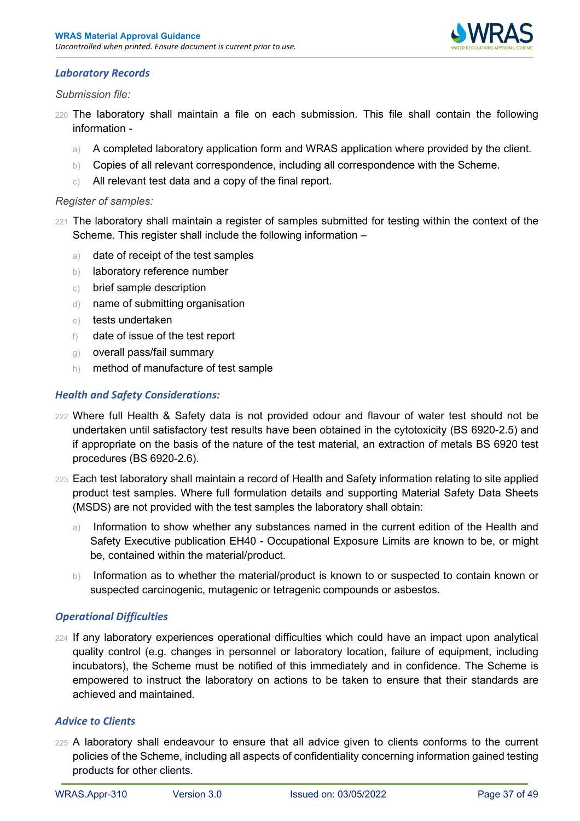

## *Laboratory Records*

## *Submission file:*

- 220 The laboratory shall maintain a file on each submission. This file shall contain the following information
	- a) A completed laboratory application form and WRAS application where provided by the client.
	- b) Copies of all relevant correspondence, including all correspondence with the Scheme.
	- c) All relevant test data and a copy of the final report.

## *Register of samples:*

- 221 The laboratory shall maintain a register of samples submitted for testing within the context of the Scheme. This register shall include the following information –
	- a) date of receipt of the test samples
	- b) laboratory reference number
	- c) brief sample description
	- d) name of submitting organisation
	- e) tests undertaken
	- f) date of issue of the test report
	- g) overall pass/fail summary
	- h) method of manufacture of test sample

## <span id="page-36-0"></span>*Health and Safety Considerations:*

- 222 Where full Health & Safety data is not provided odour and flavour of water test should not be undertaken until satisfactory test results have been obtained in the cytotoxicity (BS 6920-2.5) and if appropriate on the basis of the nature of the test material, an extraction of metals BS 6920 test procedures (BS 6920-2.6).
- 223 Each test laboratory shall maintain a record of Health and Safety information relating to site applied product test samples. Where full formulation details and supporting Material Safety Data Sheets (MSDS) are not provided with the test samples the laboratory shall obtain:
	- a) Information to show whether any substances named in the current edition of the Health and Safety Executive publication EH40 - Occupational Exposure Limits are known to be, or might be, contained within the material/product.
	- b) Information as to whether the material/product is known to or suspected to contain known or suspected carcinogenic, mutagenic or tetragenic compounds or asbestos.

## <span id="page-36-1"></span>*Operational Difficulties*

224 If any laboratory experiences operational difficulties which could have an impact upon analytical quality control (e.g. changes in personnel or laboratory location, failure of equipment, including incubators), the Scheme must be notified of this immediately and in confidence. The Scheme is empowered to instruct the laboratory on actions to be taken to ensure that their standards are achieved and maintained.

## <span id="page-36-2"></span>*Advice to Clients*

225 A laboratory shall endeavour to ensure that all advice given to clients conforms to the current policies of the Scheme, including all aspects of confidentiality concerning information gained testing products for other clients.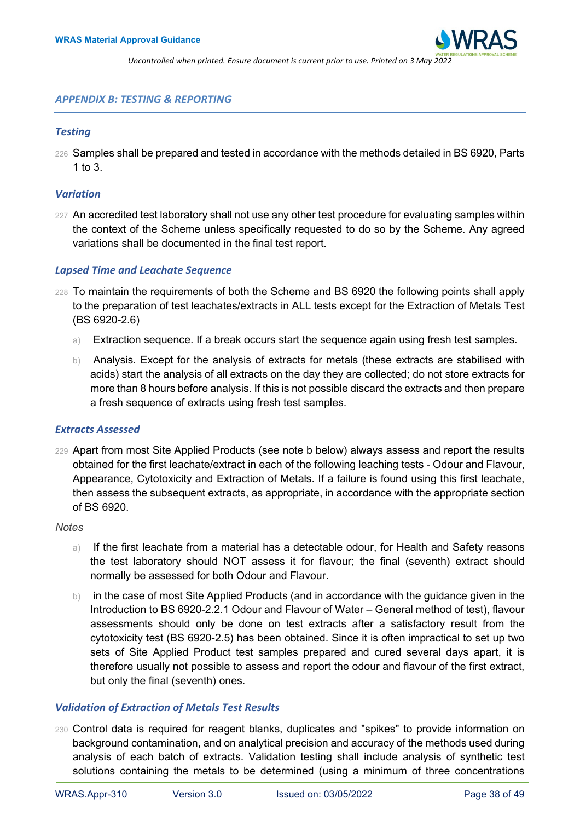

#### <span id="page-37-0"></span>*APPENDIX B: TESTING & REPORTING*

#### <span id="page-37-1"></span>*Testing*

226 Samples shall be prepared and tested in accordance with the methods detailed in BS 6920, Parts 1 to 3.

#### <span id="page-37-2"></span>*Variation*

227 An accredited test laboratory shall not use any other test procedure for evaluating samples within the context of the Scheme unless specifically requested to do so by the Scheme. Any agreed variations shall be documented in the final test report.

#### <span id="page-37-3"></span>*Lapsed Time and Leachate Sequence*

- 228 To maintain the requirements of both the Scheme and BS 6920 the following points shall apply to the preparation of test leachates/extracts in ALL tests except for the Extraction of Metals Test (BS 6920-2.6)
	- a) Extraction sequence. If a break occurs start the sequence again using fresh test samples.
	- b) Analysis. Except for the analysis of extracts for metals (these extracts are stabilised with acids) start the analysis of all extracts on the day they are collected; do not store extracts for more than 8 hours before analysis. If this is not possible discard the extracts and then prepare a fresh sequence of extracts using fresh test samples.

#### <span id="page-37-4"></span>*Extracts Assessed*

229 Apart from most Site Applied Products (see note b below) always assess and report the results obtained for the first leachate/extract in each of the following leaching tests - Odour and Flavour, Appearance, Cytotoxicity and Extraction of Metals. If a failure is found using this first leachate, then assess the subsequent extracts, as appropriate, in accordance with the appropriate section of BS 6920.

#### *Notes*

- a) If the first leachate from a material has a detectable odour, for Health and Safety reasons the test laboratory should NOT assess it for flavour; the final (seventh) extract should normally be assessed for both Odour and Flavour.
- b) in the case of most Site Applied Products (and in accordance with the guidance given in the Introduction to BS 6920-2.2.1 Odour and Flavour of Water – General method of test), flavour assessments should only be done on test extracts after a satisfactory result from the cytotoxicity test (BS 6920-2.5) has been obtained. Since it is often impractical to set up two sets of Site Applied Product test samples prepared and cured several days apart, it is therefore usually not possible to assess and report the odour and flavour of the first extract, but only the final (seventh) ones.

#### <span id="page-37-5"></span>*Validation of Extraction of Metals Test Results*

230 Control data is required for reagent blanks, duplicates and "spikes" to provide information on background contamination, and on analytical precision and accuracy of the methods used during analysis of each batch of extracts. Validation testing shall include analysis of synthetic test solutions containing the metals to be determined (using a minimum of three concentrations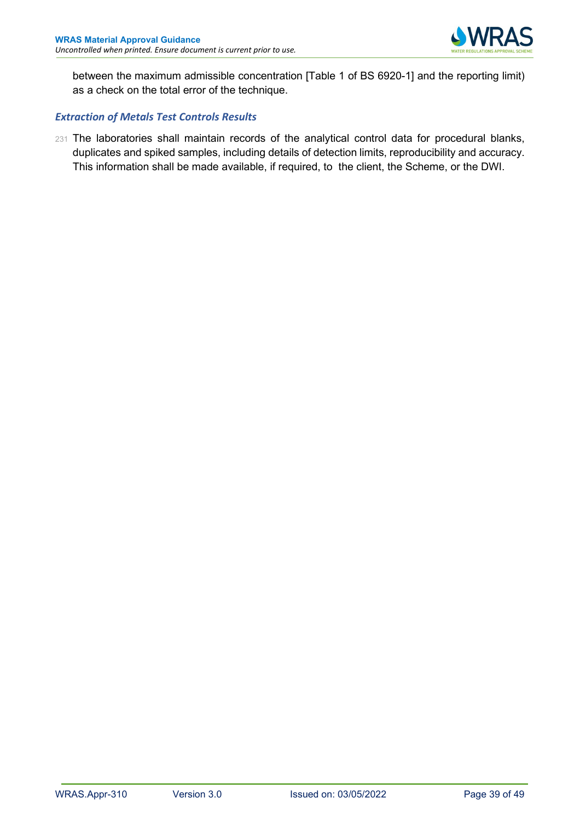

between the maximum admissible concentration [Table 1 of BS 6920-1] and the reporting limit) as a check on the total error of the technique.

## <span id="page-38-0"></span>*Extraction of Metals Test Controls Results*

231 The laboratories shall maintain records of the analytical control data for procedural blanks, duplicates and spiked samples, including details of detection limits, reproducibility and accuracy. This information shall be made available, if required, to the client, the Scheme, or the DWI.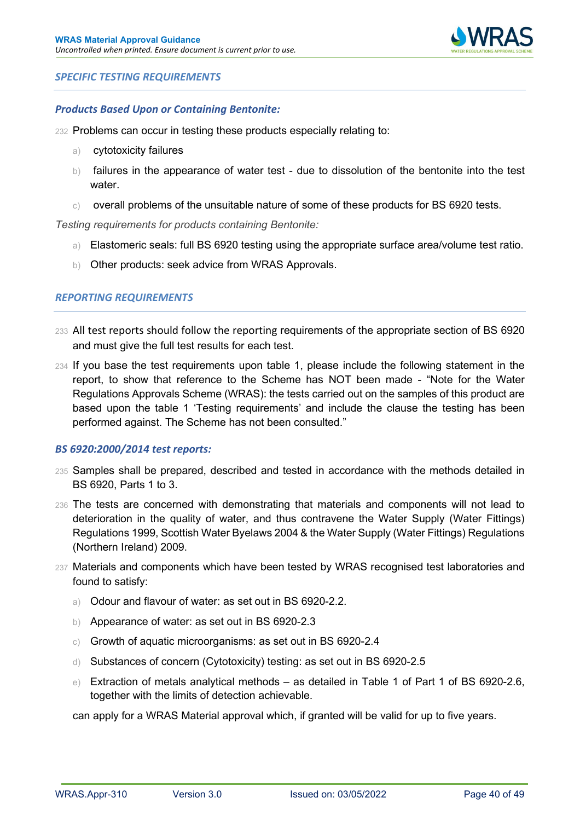

## <span id="page-39-0"></span>*SPECIFIC TESTING REQUIREMENTS*

#### <span id="page-39-1"></span>*Products Based Upon or Containing Bentonite:*

- 232 Problems can occur in testing these products especially relating to:
	- a) cytotoxicity failures
	- b) failures in the appearance of water test due to dissolution of the bentonite into the test water.
	- $\circ$  overall problems of the unsuitable nature of some of these products for BS 6920 tests.

*Testing requirements for products containing Bentonite:*

- a) Elastomeric seals: full BS 6920 testing using the appropriate surface area/volume test ratio.
- b) Other products: seek advice from WRAS Approvals.

## <span id="page-39-2"></span>*REPORTING REQUIREMENTS*

- <sup>233</sup>All test reports should follow the reporting requirements of the appropriate section of BS 6920 and must give the full test results for each test.
- 234 If you base the test requirements upon table 1, please include the following statement in the report, to show that reference to the Scheme has NOT been made - "Note for the Water Regulations Approvals Scheme (WRAS): the tests carried out on the samples of this product are based upon the table 1 'Testing requirements' and include the clause the testing has been performed against. The Scheme has not been consulted."

#### <span id="page-39-3"></span>*BS 6920:2000/2014 test reports:*

- 235 Samples shall be prepared, described and tested in accordance with the methods detailed in BS 6920, Parts 1 to 3.
- 236 The tests are concerned with demonstrating that materials and components will not lead to deterioration in the quality of water, and thus contravene the Water Supply (Water Fittings) Regulations 1999, Scottish Water Byelaws 2004 & the Water Supply (Water Fittings) Regulations (Northern Ireland) 2009.
- 237 Materials and components which have been tested by WRAS recognised test laboratories and found to satisfy:
	- a) Odour and flavour of water: as set out in BS 6920-2.2.
	- b) Appearance of water: as set out in BS 6920-2.3
	- c) Growth of aquatic microorganisms: as set out in BS 6920-2.4
	- d) Substances of concern (Cytotoxicity) testing: as set out in BS 6920-2.5
	- e) Extraction of metals analytical methods as detailed in Table 1 of Part 1 of BS 6920-2.6, together with the limits of detection achievable.

<span id="page-39-4"></span>can apply for a WRAS Material approval which, if granted will be valid for up to five years.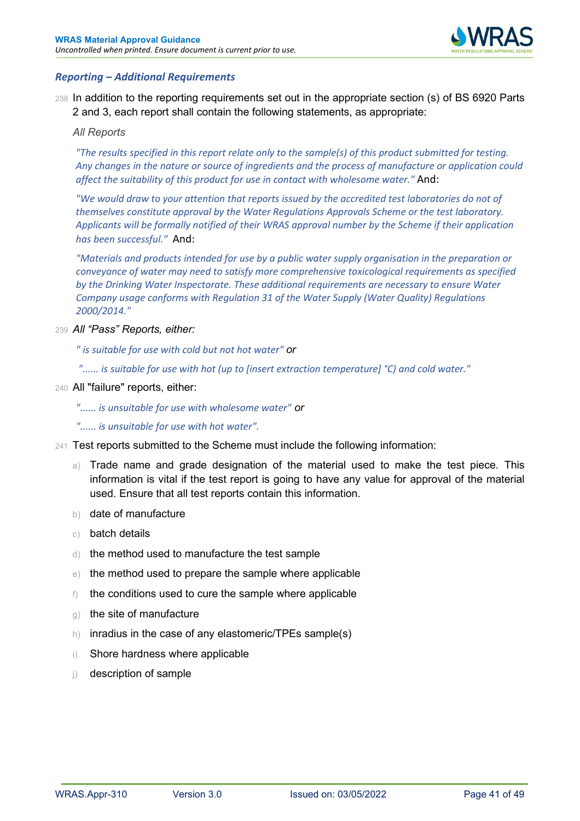

## *Reporting – Additional Requirements*

238 In addition to the reporting requirements set out in the appropriate section (s) of BS 6920 Parts 2 and 3, each report shall contain the following statements, as appropriate:

#### *All Reports*

*"The results specified in this report relate only to the sample(s) of this product submitted for testing. Any changes in the nature or source of ingredients and the process of manufacture or application could affect the suitability of this product for use in contact with wholesome water."* And:

*"We would draw to your attention that reports issued by the accredited test laboratories do not of themselves constitute approval by the Water Regulations Approvals Scheme or the test laboratory. Applicants will be formally notified of their WRAS approval number by the Scheme if their application has been successful."* And:

*"Materials and products intended for use by a public water supply organisation in the preparation or conveyance of water may need to satisfy more comprehensive toxicological requirements as specified by the Drinking Water Inspectorate. These additional requirements are necessary to ensure Water Company usage conforms with Regulation 31 of the Water Supply (Water Quality) Regulations 2000/2014."*

239 *All "Pass" Reports, either:*

*" is suitable for use with cold but not hot water" or*

*"...... is suitable for use with hot (up to [insert extraction temperature] °C) and cold water."*

#### 240 All "failure" reports, either:

- *"...... is unsuitable for use with wholesome water" or*
- *"...... is unsuitable for use with hot water".*
- <span id="page-40-0"></span>241 Test reports submitted to the Scheme must include the following information:
	- a) Trade name and grade designation of the material used to make the test piece. This information is vital if the test report is going to have any value for approval of the material used. Ensure that all test reports contain this information.
	- b) date of manufacture
	- c) batch details
	- d) the method used to manufacture the test sample
	- e) the method used to prepare the sample where applicable
	- f) the conditions used to cure the sample where applicable
	- g) the site of manufacture
	- h) inradius in the case of any elastomeric/TPEs sample(s)
	- i) Shore hardness where applicable
	- j) description of sample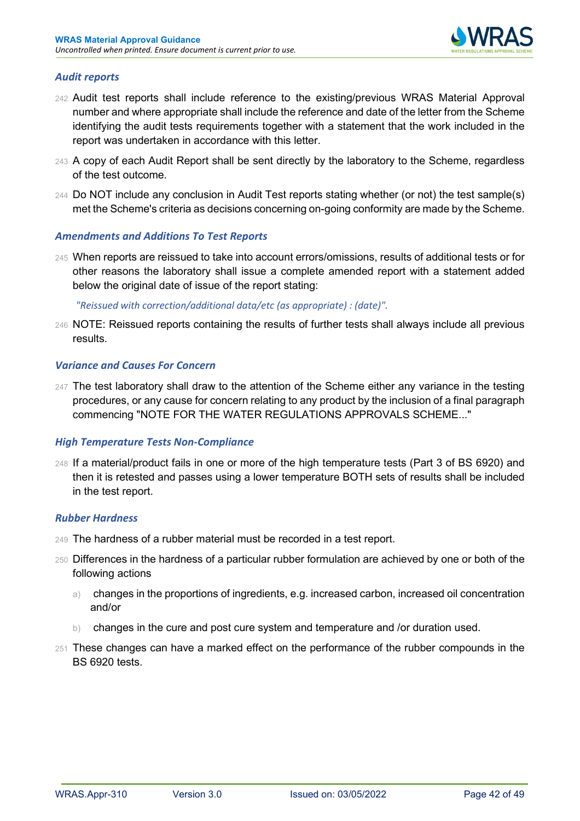

## *Audit reports*

- 242 Audit test reports shall include reference to the existing/previous WRAS Material Approval number and where appropriate shall include the reference and date of the letter from the Scheme identifying the audit tests requirements together with a statement that the work included in the report was undertaken in accordance with this letter.
- 243 A copy of each Audit Report shall be sent directly by the laboratory to the Scheme, regardless of the test outcome.
- 244 Do NOT include any conclusion in Audit Test reports stating whether (or not) the test sample(s) met the Scheme's criteria as decisions concerning on-going conformity are made by the Scheme.

## <span id="page-41-0"></span>*Amendments and Additions To Test Reports*

245 When reports are reissued to take into account errors/omissions, results of additional tests or for other reasons the laboratory shall issue a complete amended report with a statement added below the original date of issue of the report stating:

*"Reissued with correction/additional data/etc (as appropriate) : (date)".*

246 NOTE: Reissued reports containing the results of further tests shall always include all previous results.

## <span id="page-41-1"></span>*Variance and Causes For Concern*

247 The test laboratory shall draw to the attention of the Scheme either any variance in the testing procedures, or any cause for concern relating to any product by the inclusion of a final paragraph commencing "NOTE FOR THE WATER REGULATIONS APPROVALS SCHEME..."

## <span id="page-41-2"></span>*High Temperature Tests Non-Compliance*

248 If a material/product fails in one or more of the high temperature tests (Part 3 of BS 6920) and then it is retested and passes using a lower temperature BOTH sets of results shall be included in the test report.

#### <span id="page-41-3"></span>*Rubber Hardness*

- 249 The hardness of a rubber material must be recorded in a test report.
- 250 Differences in the hardness of a particular rubber formulation are achieved by one or both of the following actions
	- a) changes in the proportions of ingredients, e.g. increased carbon, increased oil concentration and/or
	- b) changes in the cure and post cure system and temperature and /or duration used.
- 251 These changes can have a marked effect on the performance of the rubber compounds in the BS 6920 tests.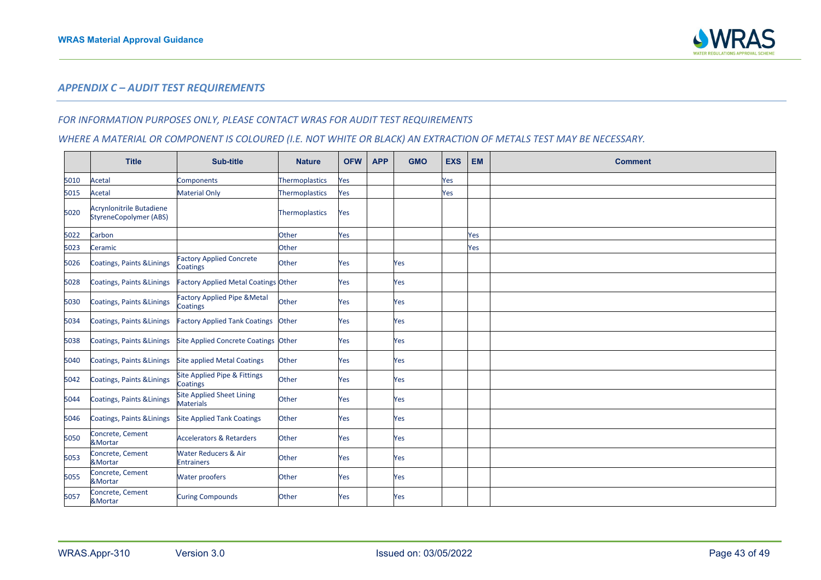

#### *APPENDIX C – AUDIT TEST REQUIREMENTS*

#### *FOR INFORMATION PURPOSES ONLY, PLEASE CONTACT WRAS FOR AUDIT TEST REQUIREMENTS*

## *WHERE A MATERIAL OR COMPONENT IS COLOURED (I.E. NOT WHITE OR BLACK) AN EXTRACTION OF METALS TEST MAY BE NECESSARY.*

<span id="page-42-0"></span>

|      | <b>Title</b>                                                     | Sub-title                                            | <b>Nature</b>         | <b>OFW</b> | <b>APP</b> | <b>GMO</b> | <b>EXS</b> | <b>EM</b> | <b>Comment</b> |
|------|------------------------------------------------------------------|------------------------------------------------------|-----------------------|------------|------------|------------|------------|-----------|----------------|
| 5010 | Acetal                                                           | Components                                           | Thermoplastics        | Yes        |            |            | Yes        |           |                |
| 5015 | <b>Acetal</b>                                                    | <b>Material Only</b>                                 | <b>Thermoplastics</b> | Yes        |            |            | Yes        |           |                |
| 5020 | <b>Acrynlonitrile Butadiene</b><br><b>StyreneCopolymer (ABS)</b> |                                                      | <b>Thermoplastics</b> | Yes        |            |            |            |           |                |
| 5022 | Carbon                                                           |                                                      | Other                 | Yes        |            |            |            | Yes       |                |
| 5023 | Ceramic                                                          |                                                      | Other                 |            |            |            |            | Yes       |                |
| 5026 | Coatings, Paints & Linings                                       | <b>Factory Applied Concrete</b><br>Coatings          | Other                 | Yes        |            | Yes        |            |           |                |
| 5028 | Coatings, Paints & Linings                                       | <b>Factory Applied Metal Coatings Other</b>          |                       | Yes        |            | Yes        |            |           |                |
| 5030 | Coatings, Paints & Linings                                       | <b>Factory Applied Pipe &amp; Metal</b><br>Coatings  | Other                 | Yes        |            | Yes        |            |           |                |
| 5034 | Coatings, Paints & Linings                                       | <b>Factory Applied Tank Coatings</b>                 | Other                 | Yes        |            | Yes        |            |           |                |
| 5038 | Coatings, Paints & Linings                                       | Site Applied Concrete Coatings Other                 |                       | Yes        |            | Yes        |            |           |                |
| 5040 | Coatings, Paints & Linings                                       | <b>Site applied Metal Coatings</b>                   | Other                 | Yes        |            | Yes        |            |           |                |
| 5042 | Coatings, Paints & Linings                                       | <b>Site Applied Pipe &amp; Fittings</b><br>Coatings  | Other                 | Yes        |            | Yes        |            |           |                |
| 5044 | <b>Coatings, Paints &amp; Linings</b>                            | <b>Site Applied Sheet Lining</b><br><b>Materials</b> | Other                 | Yes        |            | Yes        |            |           |                |
| 5046 | <b>Coatings, Paints &amp; Linings</b>                            | <b>Site Applied Tank Coatings</b>                    | Other                 | Yes        |            | Yes        |            |           |                |
| 5050 | Concrete, Cement<br>&Mortar                                      | <b>Accelerators &amp; Retarders</b>                  | Other                 | Yes        |            | Yes        |            |           |                |
| 5053 | Concrete, Cement<br>&Mortar                                      | <b>Water Reducers &amp; Air</b><br><b>Entrainers</b> | Other                 | Yes        |            | Yes        |            |           |                |
| 5055 | Concrete, Cement<br>&Mortar                                      | <b>Water proofers</b>                                | Other                 | Yes        |            | Yes        |            |           |                |
| 5057 | Concrete, Cement<br>&Mortar                                      | <b>Curing Compounds</b>                              | Other                 | Yes        |            | Yes        |            |           |                |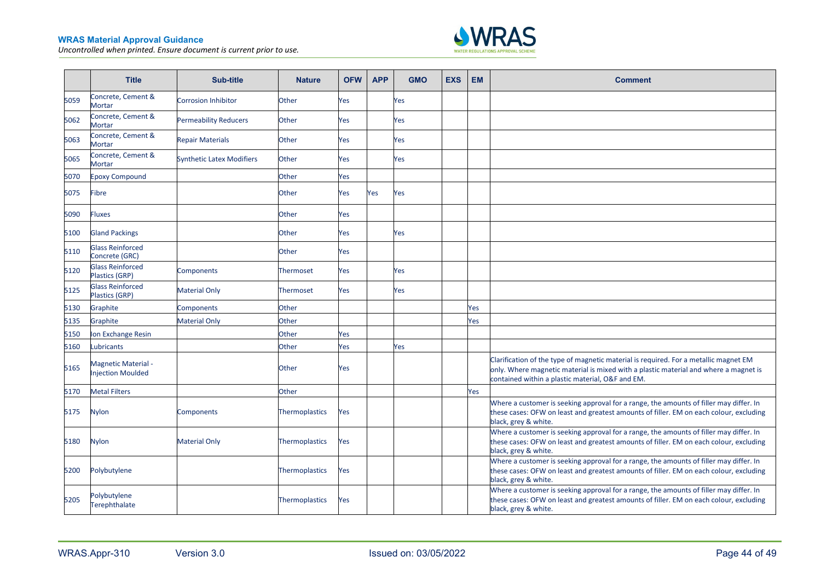

|      | <b>Title</b>                                    | <b>Sub-title</b>                 | <b>Nature</b>         | <b>OFW</b> | <b>APP</b> | <b>GMO</b> | <b>EXS</b> | <b>EM</b> | <b>Comment</b>                                                                                                                                                                                                                   |
|------|-------------------------------------------------|----------------------------------|-----------------------|------------|------------|------------|------------|-----------|----------------------------------------------------------------------------------------------------------------------------------------------------------------------------------------------------------------------------------|
| 5059 | Concrete, Cement &<br>Mortar                    | <b>Corrosion Inhibitor</b>       | Other                 | Yes        |            | Yes        |            |           |                                                                                                                                                                                                                                  |
| 5062 | Concrete, Cement &<br><b>Mortar</b>             | <b>Permeability Reducers</b>     | Other                 | Yes        |            | Yes        |            |           |                                                                                                                                                                                                                                  |
| 5063 | Concrete, Cement &<br><b>Mortar</b>             | <b>Repair Materials</b>          | Other                 | Yes        |            | Yes        |            |           |                                                                                                                                                                                                                                  |
| 5065 | Concrete, Cement &<br>Mortar                    | <b>Synthetic Latex Modifiers</b> | Other                 | Yes        |            | Yes        |            |           |                                                                                                                                                                                                                                  |
| 5070 | <b>Epoxy Compound</b>                           |                                  | Other                 | Yes        |            |            |            |           |                                                                                                                                                                                                                                  |
| 5075 | <b>Fibre</b>                                    |                                  | Other                 | Yes        | Yes        | Yes        |            |           |                                                                                                                                                                                                                                  |
| 5090 | Fluxes                                          |                                  | Other                 | Yes        |            |            |            |           |                                                                                                                                                                                                                                  |
| 5100 | <b>Gland Packings</b>                           |                                  | Other                 | Yes        |            | Yes        |            |           |                                                                                                                                                                                                                                  |
| 5110 | <b>Glass Reinforced</b><br>Concrete (GRC)       |                                  | Other                 | Yes        |            |            |            |           |                                                                                                                                                                                                                                  |
| 5120 | <b>Glass Reinforced</b><br>Plastics (GRP)       | <b>Components</b>                | <b>Thermoset</b>      | Yes        |            | Yes        |            |           |                                                                                                                                                                                                                                  |
| 5125 | <b>Glass Reinforced</b><br>Plastics (GRP)       | <b>Material Only</b>             | Thermoset             | Yes        |            | Yes        |            |           |                                                                                                                                                                                                                                  |
| 5130 | Graphite                                        | Components                       | Other                 |            |            |            |            | Yes       |                                                                                                                                                                                                                                  |
| 5135 | Graphite                                        | <b>Material Only</b>             | Other                 |            |            |            |            | Yes       |                                                                                                                                                                                                                                  |
| 5150 | Ion Exchange Resin                              |                                  | Other                 | Yes        |            |            |            |           |                                                                                                                                                                                                                                  |
| 5160 | Lubricants                                      |                                  | Other                 | Yes        |            | Yes        |            |           |                                                                                                                                                                                                                                  |
| 5165 | Magnetic Material -<br><b>Injection Moulded</b> |                                  | Other                 | Yes        |            |            |            |           | Clarification of the type of magnetic material is required. For a metallic magnet EM<br>only. Where magnetic material is mixed with a plastic material and where a magnet is<br>contained within a plastic material, O&F and EM. |
| 5170 | <b>Metal Filters</b>                            |                                  | Other                 |            |            |            |            | Yes       |                                                                                                                                                                                                                                  |
| 5175 | <b>Nylon</b>                                    | <b>Components</b>                | Thermoplastics        | Yes        |            |            |            |           | Where a customer is seeking approval for a range, the amounts of filler may differ. In<br>these cases: OFW on least and greatest amounts of filler. EM on each colour, excluding<br>black, grey & white.                         |
| 5180 | <b>Nylon</b>                                    | <b>Material Only</b>             | Thermoplastics        | Yes        |            |            |            |           | Where a customer is seeking approval for a range, the amounts of filler may differ. In<br>these cases: OFW on least and greatest amounts of filler. EM on each colour, excluding<br>black, grey & white.                         |
| 5200 | Polybutylene                                    |                                  | <b>Thermoplastics</b> | Yes        |            |            |            |           | Where a customer is seeking approval for a range, the amounts of filler may differ. In<br>these cases: OFW on least and greatest amounts of filler. EM on each colour, excluding<br>black, grey & white.                         |
| 5205 | Polybutylene<br><b>Terephthalate</b>            |                                  | <b>Thermoplastics</b> | Yes        |            |            |            |           | Where a customer is seeking approval for a range, the amounts of filler may differ. In<br>these cases: OFW on least and greatest amounts of filler. EM on each colour, excluding<br>black, grey & white.                         |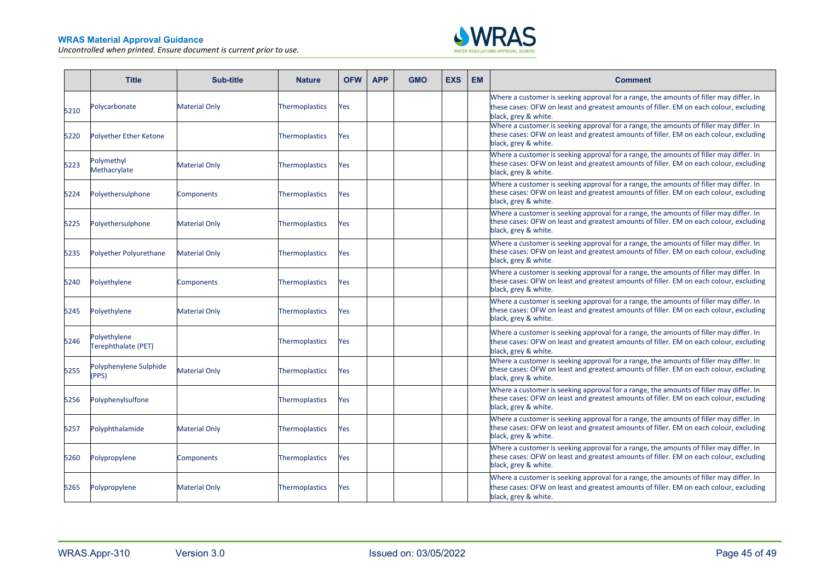

|      | <b>Title</b>                        | Sub-title            | <b>Nature</b>         | <b>OFW</b> | <b>APP</b> | <b>GMO</b> | <b>EXS</b> | <b>EM</b> | <b>Comment</b>                                                                                                                                                                                           |
|------|-------------------------------------|----------------------|-----------------------|------------|------------|------------|------------|-----------|----------------------------------------------------------------------------------------------------------------------------------------------------------------------------------------------------------|
| 5210 | Polycarbonate                       | <b>Material Only</b> | Thermoplastics        | Yes        |            |            |            |           | Where a customer is seeking approval for a range, the amounts of filler may differ. In<br>these cases: OFW on least and greatest amounts of filler. EM on each colour, excluding<br>black, grey & white. |
| 5220 | <b>Polyether Ether Ketone</b>       |                      | Thermoplastics        | Yes        |            |            |            |           | Where a customer is seeking approval for a range, the amounts of filler may differ. In<br>these cases: OFW on least and greatest amounts of filler. EM on each colour, excluding<br>black, grey & white. |
| 5223 | Polymethyl<br>Methacrylate          | <b>Material Only</b> | <b>Thermoplastics</b> | Yes        |            |            |            |           | Where a customer is seeking approval for a range, the amounts of filler may differ. In<br>these cases: OFW on least and greatest amounts of filler. EM on each colour, excluding<br>black, grey & white. |
| 5224 | Polyethersulphone                   | Components           | Thermoplastics        | Yes        |            |            |            |           | Where a customer is seeking approval for a range, the amounts of filler may differ. In<br>these cases: OFW on least and greatest amounts of filler. EM on each colour, excluding<br>black, grey & white. |
| 5225 | Polyethersulphone                   | <b>Material Only</b> | Thermoplastics        | Yes        |            |            |            |           | Where a customer is seeking approval for a range, the amounts of filler may differ. In<br>these cases: OFW on least and greatest amounts of filler. EM on each colour, excluding<br>black, grey & white. |
| 5235 | Polyether Polyurethane              | <b>Material Only</b> | Thermoplastics        | Yes        |            |            |            |           | Where a customer is seeking approval for a range, the amounts of filler may differ. In<br>these cases: OFW on least and greatest amounts of filler. EM on each colour, excluding<br>black, grey & white. |
| 5240 | Polyethylene                        | Components           | Thermoplastics        | Yes        |            |            |            |           | Where a customer is seeking approval for a range, the amounts of filler may differ. In<br>these cases: OFW on least and greatest amounts of filler. EM on each colour, excluding<br>black, grey & white. |
| 5245 | Polyethylene                        | <b>Material Only</b> | Thermoplastics        | Yes        |            |            |            |           | Where a customer is seeking approval for a range, the amounts of filler may differ. In<br>these cases: OFW on least and greatest amounts of filler. EM on each colour, excluding<br>black, grey & white. |
| 5246 | Polyethylene<br>Terephthalate (PET) |                      | Thermoplastics        | Yes        |            |            |            |           | Where a customer is seeking approval for a range, the amounts of filler may differ. In<br>these cases: OFW on least and greatest amounts of filler. EM on each colour, excluding<br>black, grey & white. |
| 5255 | Polyphenylene Sulphide<br>(PPS)     | <b>Material Only</b> | Thermoplastics        | Yes        |            |            |            |           | Where a customer is seeking approval for a range, the amounts of filler may differ. In<br>these cases: OFW on least and greatest amounts of filler. EM on each colour, excluding<br>black, grey & white. |
| 5256 | Polyphenylsulfone                   |                      | Thermoplastics        | Yes        |            |            |            |           | Where a customer is seeking approval for a range, the amounts of filler may differ. In<br>these cases: OFW on least and greatest amounts of filler. EM on each colour, excluding<br>black, grey & white. |
| 5257 | Polyphthalamide                     | <b>Material Only</b> | <b>Thermoplastics</b> | Yes        |            |            |            |           | Where a customer is seeking approval for a range, the amounts of filler may differ. In<br>these cases: OFW on least and greatest amounts of filler. EM on each colour, excluding<br>black, grey & white. |
| 5260 | Polypropylene                       | Components           | Thermoplastics        | Yes        |            |            |            |           | Where a customer is seeking approval for a range, the amounts of filler may differ. In<br>these cases: OFW on least and greatest amounts of filler. EM on each colour, excluding<br>black, grey & white. |
| 5265 | Polypropylene                       | <b>Material Only</b> | Thermoplastics        | Yes        |            |            |            |           | Where a customer is seeking approval for a range, the amounts of filler may differ. In<br>these cases: OFW on least and greatest amounts of filler. EM on each colour, excluding<br>black, grey & white. |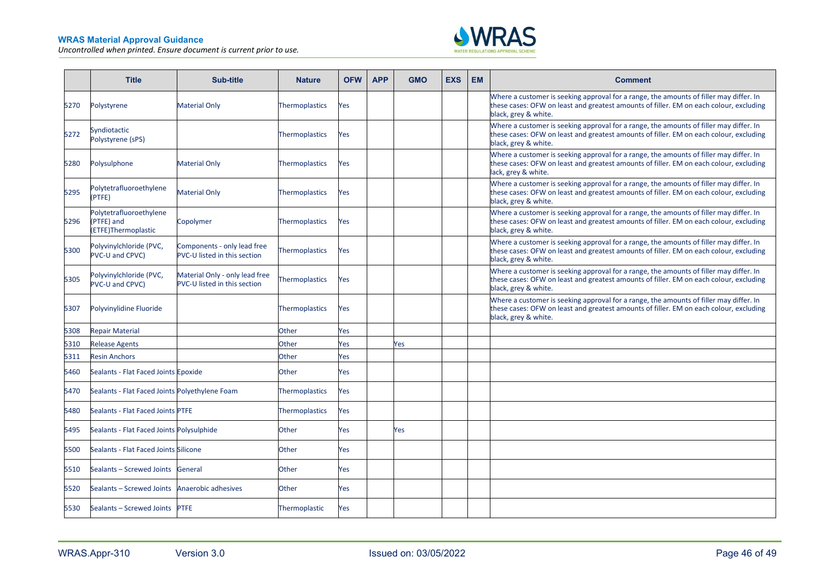

|      | <b>Title</b>                                                 | Sub-title                                                             | <b>Nature</b>         | <b>OFW</b> | <b>APP</b> | <b>GMO</b> | <b>EXS</b> | <b>EM</b> | <b>Comment</b>                                                                                                                                                                                           |
|------|--------------------------------------------------------------|-----------------------------------------------------------------------|-----------------------|------------|------------|------------|------------|-----------|----------------------------------------------------------------------------------------------------------------------------------------------------------------------------------------------------------|
| 5270 | Polystyrene                                                  | <b>Material Only</b>                                                  | Thermoplastics        | Yes        |            |            |            |           | Where a customer is seeking approval for a range, the amounts of filler may differ. In<br>these cases: OFW on least and greatest amounts of filler. EM on each colour, excluding<br>black, grey & white. |
| 5272 | Syndiotactic<br>Polystyrene (sPS)                            |                                                                       | <b>Thermoplastics</b> | Yes        |            |            |            |           | Where a customer is seeking approval for a range, the amounts of filler may differ. In<br>these cases: OFW on least and greatest amounts of filler. EM on each colour, excluding<br>black, grey & white. |
| 5280 | Polysulphone                                                 | <b>Material Only</b>                                                  | <b>Thermoplastics</b> | Yes        |            |            |            |           | Where a customer is seeking approval for a range, the amounts of filler may differ. In<br>these cases: OFW on least and greatest amounts of filler. EM on each colour, excluding<br>lack, grey & white.  |
| 5295 | Polytetrafluoroethylene<br>(PTFE)                            | <b>Material Only</b>                                                  | Thermoplastics        | Yes        |            |            |            |           | Where a customer is seeking approval for a range, the amounts of filler may differ. In<br>these cases: OFW on least and greatest amounts of filler. EM on each colour, excluding<br>black, grey & white. |
| 5296 | Polytetrafluoroethylene<br>(PTFE) and<br>(ETFE)Thermoplastic | Copolymer                                                             | <b>Thermoplastics</b> | Yes        |            |            |            |           | Where a customer is seeking approval for a range, the amounts of filler may differ. In<br>these cases: OFW on least and greatest amounts of filler. EM on each colour, excluding<br>black, grey & white. |
| 5300 | Polyvinylchloride (PVC,<br><b>PVC-U and CPVC)</b>            | Components - only lead free<br>PVC-U listed in this section           | Thermoplastics        | Yes        |            |            |            |           | Where a customer is seeking approval for a range, the amounts of filler may differ. In<br>these cases: OFW on least and greatest amounts of filler. EM on each colour, excluding<br>black, grey & white. |
| 5305 | Polyvinylchloride (PVC,<br><b>PVC-U and CPVC)</b>            | Material Only - only lead free<br><b>PVC-U listed in this section</b> | Thermoplastics        | Yes        |            |            |            |           | Where a customer is seeking approval for a range, the amounts of filler may differ. In<br>these cases: OFW on least and greatest amounts of filler. EM on each colour, excluding<br>black, grey & white. |
| 5307 | Polyvinylidine Fluoride                                      |                                                                       | Thermoplastics        | Yes        |            |            |            |           | Where a customer is seeking approval for a range, the amounts of filler may differ. In<br>these cases: OFW on least and greatest amounts of filler. EM on each colour, excluding<br>black, grey & white. |
| 5308 | <b>Repair Material</b>                                       |                                                                       | Other                 | Yes        |            |            |            |           |                                                                                                                                                                                                          |
| 5310 | <b>Release Agents</b>                                        |                                                                       | Other                 | Yes        |            | Yes        |            |           |                                                                                                                                                                                                          |
| 5311 | <b>Resin Anchors</b>                                         |                                                                       | Other                 | Yes        |            |            |            |           |                                                                                                                                                                                                          |
| 5460 | Sealants - Flat Faced Joints Epoxide                         |                                                                       | Other                 | Yes        |            |            |            |           |                                                                                                                                                                                                          |
| 5470 | Sealants - Flat Faced Joints Polyethylene Foam               |                                                                       | Thermoplastics        | Yes        |            |            |            |           |                                                                                                                                                                                                          |
| 5480 | Sealants - Flat Faced Joints PTFE                            |                                                                       | Thermoplastics        | Yes        |            |            |            |           |                                                                                                                                                                                                          |
| 5495 | Sealants - Flat Faced Joints Polysulphide                    |                                                                       | Other                 | Yes        |            | Yes        |            |           |                                                                                                                                                                                                          |
| 5500 | Sealants - Flat Faced Joints Silicone                        |                                                                       | Other                 | Yes        |            |            |            |           |                                                                                                                                                                                                          |
| 5510 | Sealants - Screwed Joints                                    | General                                                               | Other                 | Yes        |            |            |            |           |                                                                                                                                                                                                          |
| 5520 | Sealants - Screwed Joints                                    | Anaerobic adhesives                                                   | Other                 | Yes        |            |            |            |           |                                                                                                                                                                                                          |
| 5530 | Sealants - Screwed Joints PTFE                               |                                                                       | Thermoplastic         | Yes        |            |            |            |           |                                                                                                                                                                                                          |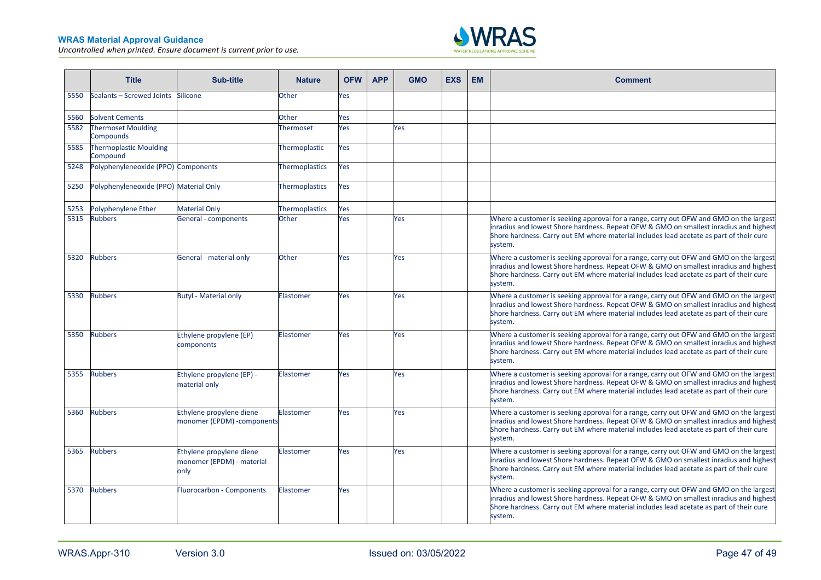

|      | <b>Title</b>                              | Sub-title                                                     | <b>Nature</b>    | <b>OFW</b> | <b>APP</b> | <b>GMO</b> | <b>EXS</b> | <b>EM</b> | <b>Comment</b>                                                                                                                                                                                                                                                                        |
|------|-------------------------------------------|---------------------------------------------------------------|------------------|------------|------------|------------|------------|-----------|---------------------------------------------------------------------------------------------------------------------------------------------------------------------------------------------------------------------------------------------------------------------------------------|
| 5550 | Sealants - Screwed Joints                 | Silicone                                                      | Other            | Yes        |            |            |            |           |                                                                                                                                                                                                                                                                                       |
| 5560 | <b>Solvent Cements</b>                    |                                                               | Other            | Yes        |            |            |            |           |                                                                                                                                                                                                                                                                                       |
| 5582 | <b>Thermoset Moulding</b><br>Compounds    |                                                               | Thermoset        | Yes        |            | Yes        |            |           |                                                                                                                                                                                                                                                                                       |
| 5585 | <b>Thermoplastic Moulding</b><br>Compound |                                                               | Thermoplastic    | Yes        |            |            |            |           |                                                                                                                                                                                                                                                                                       |
| 5248 | Polyphenyleneoxide (PPO) Components       |                                                               | Thermoplastics   | Yes        |            |            |            |           |                                                                                                                                                                                                                                                                                       |
| 5250 | Polyphenyleneoxide (PPO) Material Only    |                                                               | Thermoplastics   | Yes        |            |            |            |           |                                                                                                                                                                                                                                                                                       |
| 5253 | Polyphenylene Ether                       | <b>Material Only</b>                                          | Thermoplastics   | Yes        |            |            |            |           |                                                                                                                                                                                                                                                                                       |
| 5315 | <b>Rubbers</b>                            | General - components                                          | Other            | Yes        |            | Yes        |            |           | Where a customer is seeking approval for a range, carry out OFW and GMO on the largest<br>inradius and lowest Shore hardness. Repeat OFW & GMO on smallest inradius and highest<br>Shore hardness. Carry out EM where material includes lead acetate as part of their cure<br>system. |
| 5320 | <b>Rubbers</b>                            | General - material only                                       | Other            | Yes        |            | Yes        |            |           | Where a customer is seeking approval for a range, carry out OFW and GMO on the largest<br>inradius and lowest Shore hardness. Repeat OFW & GMO on smallest inradius and highest<br>Shore hardness. Carry out EM where material includes lead acetate as part of their cure<br>system. |
| 5330 | <b>Rubbers</b>                            | <b>Butyl - Material only</b>                                  | Elastomer        | Yes        |            | Yes        |            |           | Where a customer is seeking approval for a range, carry out OFW and GMO on the largest<br>inradius and lowest Shore hardness. Repeat OFW & GMO on smallest inradius and highest<br>Shore hardness. Carry out EM where material includes lead acetate as part of their cure<br>system. |
| 5350 | <b>Rubbers</b>                            | Ethylene propylene (EP)<br>components                         | <b>Elastomer</b> | Yes        |            | Yes        |            |           | Where a customer is seeking approval for a range, carry out OFW and GMO on the largest<br>inradius and lowest Shore hardness. Repeat OFW & GMO on smallest inradius and highest<br>Shore hardness. Carry out EM where material includes lead acetate as part of their cure<br>system. |
| 5355 | <b>Rubbers</b>                            | Ethylene propylene (EP) -<br>material only                    | Elastomer        | Yes        |            | Yes        |            |           | Where a customer is seeking approval for a range, carry out OFW and GMO on the largest<br>inradius and lowest Shore hardness. Repeat OFW & GMO on smallest inradius and highest<br>Shore hardness. Carry out EM where material includes lead acetate as part of their cure<br>system. |
| 5360 | <b>Rubbers</b>                            | Ethylene propylene diene<br>monomer (EPDM) -components        | Elastomer        | <b>Yes</b> |            | Yes        |            |           | Where a customer is seeking approval for a range, carry out OFW and GMO on the largest<br>inradius and lowest Shore hardness. Repeat OFW & GMO on smallest inradius and highest<br>Shore hardness. Carry out EM where material includes lead acetate as part of their cure<br>system. |
| 5365 | <b>Rubbers</b>                            | Ethylene propylene diene<br>monomer (EPDM) - material<br>only | <b>Elastomer</b> | Yes        |            | Yes        |            |           | Where a customer is seeking approval for a range, carry out OFW and GMO on the largest<br>inradius and lowest Shore hardness. Repeat OFW & GMO on smallest inradius and highest<br>Shore hardness. Carry out EM where material includes lead acetate as part of their cure<br>system. |
| 5370 | <b>Rubbers</b>                            | <b>Fluorocarbon - Components</b>                              | Elastomer        | Yes        |            |            |            |           | Where a customer is seeking approval for a range, carry out OFW and GMO on the largest<br>inradius and lowest Shore hardness. Repeat OFW & GMO on smallest inradius and highest<br>Shore hardness. Carry out EM where material includes lead acetate as part of their cure<br>system. |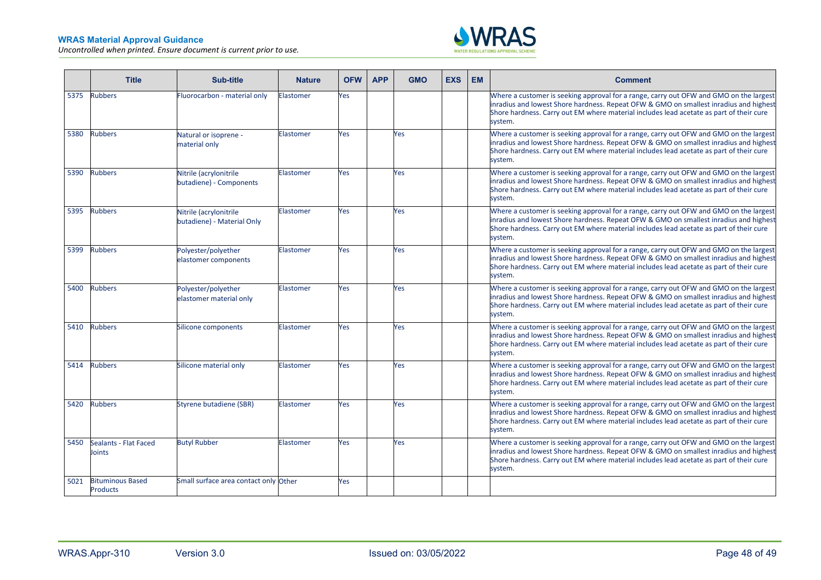÷



|      | <b>Title</b>                               | Sub-title                                            | <b>Nature</b>    | <b>OFW</b> | <b>APP</b> | <b>GMO</b> | <b>EXS</b> | <b>EM</b> | <b>Comment</b>                                                                                                                                                                                                                                                                        |
|------|--------------------------------------------|------------------------------------------------------|------------------|------------|------------|------------|------------|-----------|---------------------------------------------------------------------------------------------------------------------------------------------------------------------------------------------------------------------------------------------------------------------------------------|
| 5375 | <b>Rubbers</b>                             | Fluorocarbon - material only                         | <b>Elastomer</b> | Yes        |            |            |            |           | Where a customer is seeking approval for a range, carry out OFW and GMO on the largest<br>inradius and lowest Shore hardness. Repeat OFW & GMO on smallest inradius and highest<br>Shore hardness. Carry out EM where material includes lead acetate as part of their cure<br>system. |
| 5380 | <b>Rubbers</b>                             | Natural or isoprene -<br>material only               | Elastomer        | Yes        |            | Yes        |            |           | Where a customer is seeking approval for a range, carry out OFW and GMO on the largest<br>inradius and lowest Shore hardness. Repeat OFW & GMO on smallest inradius and highest<br>Shore hardness. Carry out EM where material includes lead acetate as part of their cure<br>system. |
| 5390 | <b>Rubbers</b>                             | Nitrile (acrylonitrile<br>butadiene) - Components    | Elastomer        | Yes        |            | Yes        |            |           | Where a customer is seeking approval for a range, carry out OFW and GMO on the largest<br>inradius and lowest Shore hardness. Repeat OFW & GMO on smallest inradius and highest<br>Shore hardness. Carry out EM where material includes lead acetate as part of their cure<br>system. |
| 5395 | <b>Rubbers</b>                             | Nitrile (acrylonitrile<br>butadiene) - Material Only | <b>Elastomer</b> | Yes        |            | Yes        |            |           | Where a customer is seeking approval for a range, carry out OFW and GMO on the largest<br>inradius and lowest Shore hardness. Repeat OFW & GMO on smallest inradius and highest<br>Shore hardness. Carry out EM where material includes lead acetate as part of their cure<br>system. |
| 5399 | <b>Rubbers</b>                             | Polyester/polyether<br>elastomer components          | Elastomer        | Yes        |            | Yes        |            |           | Where a customer is seeking approval for a range, carry out OFW and GMO on the largest<br>inradius and lowest Shore hardness. Repeat OFW & GMO on smallest inradius and highest<br>Shore hardness. Carry out EM where material includes lead acetate as part of their cure<br>system. |
| 5400 | <b>Rubbers</b>                             | Polyester/polyether<br>elastomer material only       | Elastomer        | Yes        |            | Yes        |            |           | Where a customer is seeking approval for a range, carry out OFW and GMO on the largest<br>inradius and lowest Shore hardness. Repeat OFW & GMO on smallest inradius and highest<br>Shore hardness. Carry out EM where material includes lead acetate as part of their cure<br>system. |
| 5410 | <b>Rubbers</b>                             | Silicone components                                  | Elastomer        | Yes        |            | Yes        |            |           | Where a customer is seeking approval for a range, carry out OFW and GMO on the largest<br>inradius and lowest Shore hardness. Repeat OFW & GMO on smallest inradius and highest<br>Shore hardness. Carry out EM where material includes lead acetate as part of their cure<br>system. |
| 5414 | <b>Rubbers</b>                             | Silicone material only                               | Elastomer        | Yes        |            | Yes        |            |           | Where a customer is seeking approval for a range, carry out OFW and GMO on the largest<br>inradius and lowest Shore hardness. Repeat OFW & GMO on smallest inradius and highest<br>Shore hardness. Carry out EM where material includes lead acetate as part of their cure<br>system. |
| 5420 | <b>Rubbers</b>                             | Styrene butadiene (SBR)                              | Elastomer        | Yes        |            | Yes        |            |           | Where a customer is seeking approval for a range, carry out OFW and GMO on the largest<br>inradius and lowest Shore hardness. Repeat OFW & GMO on smallest inradius and highest<br>Shore hardness. Carry out EM where material includes lead acetate as part of their cure<br>system. |
| 5450 | Sealants - Flat Faced<br>Joints            | <b>Butyl Rubber</b>                                  | <b>Elastomer</b> | Yes        |            | Yes        |            |           | Where a customer is seeking approval for a range, carry out OFW and GMO on the largest<br>inradius and lowest Shore hardness. Repeat OFW & GMO on smallest inradius and highest<br>Shore hardness. Carry out EM where material includes lead acetate as part of their cure<br>system. |
| 5021 | <b>Bituminous Based</b><br><b>Products</b> | Small surface area contact only Other                |                  | Yes        |            |            |            |           |                                                                                                                                                                                                                                                                                       |